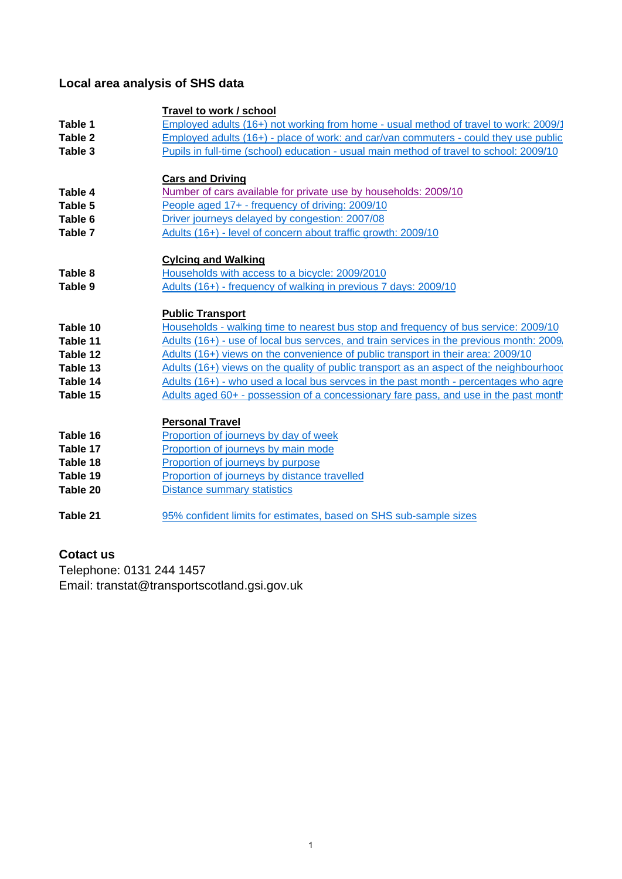# **Local area analysis of SHS data**

|          | Travel to work / school                                                                  |
|----------|------------------------------------------------------------------------------------------|
| Table 1  | Employed adults (16+) not working from home - usual method of travel to work: 2009/1     |
| Table 2  | Employed adults (16+) - place of work: and car/van commuters - could they use public     |
| Table 3  | Pupils in full-time (school) education - usual main method of travel to school: 2009/10  |
|          |                                                                                          |
|          | <b>Cars and Driving</b>                                                                  |
| Table 4  | Number of cars available for private use by households: 2009/10                          |
| Table 5  | People aged 17+ - frequency of driving: 2009/10                                          |
| Table 6  | Driver journeys delayed by congestion: 2007/08                                           |
| Table 7  | Adults (16+) - level of concern about traffic growth: 2009/10                            |
|          |                                                                                          |
|          | <b>Cylcing and Walking</b>                                                               |
| Table 8  | Households with access to a bicycle: 2009/2010                                           |
| Table 9  | Adults (16+) - frequency of walking in previous 7 days: 2009/10                          |
|          | <b>Public Transport</b>                                                                  |
| Table 10 | Households - walking time to nearest bus stop and frequency of bus service: 2009/10      |
| Table 11 | Adults (16+) - use of local bus servces, and train services in the previous month: 2009, |
| Table 12 | Adults (16+) views on the convenience of public transport in their area: 2009/10         |
| Table 13 | Adults (16+) views on the quality of public transport as an aspect of the neighbourhood  |
| Table 14 | Adults (16+) - who used a local bus servces in the past month - percentages who agre     |
| Table 15 | Adults aged 60+ - possession of a concessionary fare pass, and use in the past month     |
|          |                                                                                          |
|          | <b>Personal Travel</b>                                                                   |
| Table 16 | Proportion of journeys by day of week                                                    |
| Table 17 | Proportion of journeys by main mode                                                      |
| Table 18 | Proportion of journeys by purpose                                                        |
| Table 19 | Proportion of journeys by distance travelled                                             |
| Table 20 | <b>Distance summary statistics</b>                                                       |
|          |                                                                                          |
| Table 21 | 95% confident limits for estimates, based on SHS sub-sample sizes                        |

## **Cotact us**

Telephone: 0131 244 1457 Email: transtat@transportscotland.gsi.gov.uk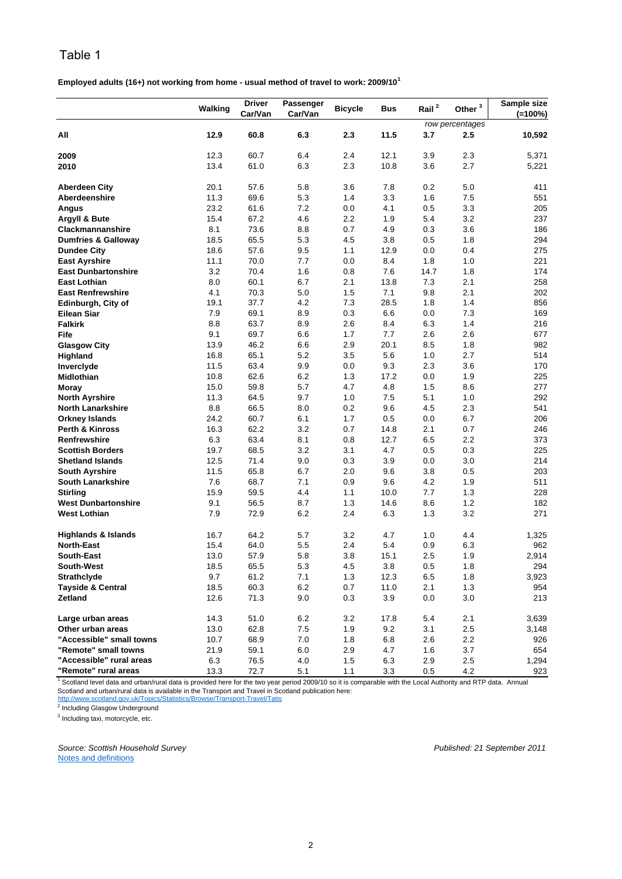**Employed adults (16+) not working from home - usual method of travel to work: 2009/10<sup>1</sup>**

|                                | Walking | <b>Driver</b><br>Car/Van | Passenger<br>Car/Van | <b>Bicycle</b> | <b>Bus</b> | Rail <sup>2</sup> | Other $3$       | Sample size<br>$(=100\%)$ |
|--------------------------------|---------|--------------------------|----------------------|----------------|------------|-------------------|-----------------|---------------------------|
|                                |         |                          |                      |                |            |                   | row percentages |                           |
| All                            | 12.9    | 60.8                     | 6.3                  | 2.3            | 11.5       | 3.7               | 2.5             | 10,592                    |
| 2009                           | 12.3    | 60.7                     | 6.4                  | 2.4            | 12.1       | 3.9               | 2.3             | 5,371                     |
| 2010                           | 13.4    | 61.0                     | 6.3                  | 2.3            | 10.8       | 3.6               | 2.7             | 5,221                     |
| <b>Aberdeen City</b>           | 20.1    | 57.6                     | 5.8                  | 3.6            | 7.8        | 0.2               | 5.0             | 411                       |
| Aberdeenshire                  | 11.3    | 69.6                     | 5.3                  | 1.4            | 3.3        | 1.6               | 7.5             | 551                       |
| Angus                          | 23.2    | 61.6                     | 7.2                  | 0.0            | 4.1        | 0.5               | 3.3             | 205                       |
| Argyll & Bute                  | 15.4    | 67.2                     | 4.6                  | 2.2            | 1.9        | 5.4               | 3.2             | 237                       |
| <b>Clackmannanshire</b>        | 8.1     | 73.6                     | 8.8                  | 0.7            | 4.9        | 0.3               | 3.6             | 186                       |
| <b>Dumfries &amp; Galloway</b> | 18.5    | 65.5                     | 5.3                  | 4.5            | 3.8        | 0.5               | 1.8             | 294                       |
| <b>Dundee City</b>             | 18.6    | 57.6                     | 9.5                  | 1.1            | 12.9       | 0.0               | 0.4             | 275                       |
| <b>East Ayrshire</b>           | 11.1    | 70.0                     | 7.7                  | 0.0            | 8.4        | 1.8               | 1.0             | 221                       |
| <b>East Dunbartonshire</b>     | 3.2     | 70.4                     | 1.6                  | 0.8            | 7.6        | 14.7              | 1.8             | 174                       |
| East Lothian                   | 8.0     | 60.1                     | 6.7                  | 2.1            | 13.8       | 7.3               | 2.1             | 258                       |
| <b>East Renfrewshire</b>       | 4.1     | 70.3                     | 5.0                  | 1.5            | 7.1        | 9.8               | 2.1             | 202                       |
| Edinburgh, City of             | 19.1    | 37.7                     | 4.2                  | 7.3            | 28.5       | 1.8               | 1.4             | 856                       |
| <b>Eilean Siar</b>             | 7.9     | 69.1                     | 8.9                  | 0.3            | 6.6        | 0.0               | 7.3             | 169                       |
| <b>Falkirk</b>                 | 8.8     | 63.7                     | 8.9                  | 2.6            | 8.4        | 6.3               | 1.4             | 216                       |
| Fife                           | 9.1     | 69.7                     | 6.6                  | 1.7            | 7.7        | 2.6               | 2.6             | 677                       |
| <b>Glasgow City</b>            | 13.9    | 46.2                     | 6.6                  | 2.9            | 20.1       | 8.5               | 1.8             | 982                       |
| Highland                       | 16.8    | 65.1                     | 5.2                  | 3.5            | 5.6        | 1.0               | 2.7             | 514                       |
| Inverclyde                     | 11.5    | 63.4                     | 9.9                  | 0.0            | 9.3        | 2.3               | 3.6             | 170                       |
| Midlothian                     | 10.8    | 62.6                     | 6.2                  | 1.3            | 17.2       | 0.0               | 1.9             | 225                       |
| Moray                          | 15.0    | 59.8                     | 5.7                  | 4.7            | 4.8        | 1.5               | 8.6             | 277                       |
| <b>North Ayrshire</b>          | 11.3    | 64.5                     | 9.7                  | 1.0            | 7.5        | 5.1               | 1.0             | 292                       |
| <b>North Lanarkshire</b>       | 8.8     | 66.5                     | 8.0                  | 0.2            | 9.6        | 4.5               | 2.3             | 541                       |
| <b>Orkney Islands</b>          | 24.2    | 60.7                     | 6.1                  | 1.7            | 0.5        | 0.0               | 6.7             | 206                       |
| <b>Perth &amp; Kinross</b>     | 16.3    | 62.2                     | 3.2                  | 0.7            | 14.8       | 2.1               | 0.7             | 246                       |
| Renfrewshire                   | 6.3     | 63.4                     | 8.1                  | 0.8            | 12.7       | 6.5               | 2.2             | 373                       |
| <b>Scottish Borders</b>        | 19.7    | 68.5                     | 3.2                  | 3.1            | 4.7        | 0.5               | 0.3             | 225                       |
| <b>Shetland Islands</b>        | 12.5    | 71.4                     | 9.0                  | 0.3            | 3.9        | 0.0               | 3.0             | 214                       |
| <b>South Ayrshire</b>          | 11.5    | 65.8                     | 6.7                  | 2.0            | 9.6        | 3.8               | 0.5             | 203                       |
| <b>South Lanarkshire</b>       | 7.6     | 68.7                     | 7.1                  | 0.9            | 9.6        | 4.2               | 1.9             | 511                       |
| <b>Stirling</b>                | 15.9    | 59.5                     | 4.4                  | 1.1            | 10.0       | 7.7               | 1.3             | 228                       |
| <b>West Dunbartonshire</b>     | 9.1     | 56.5                     | 8.7                  | 1.3            | 14.6       | 8.6               | 1.2             | 182                       |
| <b>West Lothian</b>            | 7.9     | 72.9                     | 6.2                  | 2.4            | 6.3        | 1.3               | 3.2             | 271                       |
| <b>Highlands &amp; Islands</b> | 16.7    | 64.2                     | 5.7                  | 3.2            | 4.7        | 1.0               | 4.4             | 1,325                     |
| <b>North-East</b>              | 15.4    | 64.0                     | 5.5                  | 2.4            | 5.4        | 0.9               | 6.3             | 962                       |
| <b>South-East</b>              | 13.0    | 57.9                     | 5.8                  | 3.8            | 15.1       | 2.5               | 1.9             | 2,914                     |
| South-West                     | 18.5    | 65.5                     | 5.3                  | $4.5\,$        | 3.8        | 0.5               | 1.8             | 294                       |
| <b>Strathclyde</b>             | 9.7     | 61.2                     | 7.1                  | 1.3            | 12.3       | 6.5               | 1.8             | 3,923                     |
| <b>Tayside &amp; Central</b>   | 18.5    | 60.3                     | 6.2                  | 0.7            | 11.0       | 2.1               | 1.3             | 954                       |
| Zetland                        | 12.6    | 71.3                     | 9.0                  | $0.3\,$        | 3.9        | 0.0               | 3.0             | 213                       |
| Large urban areas              | 14.3    | 51.0                     | 6.2                  | 3.2            | 17.8       | 5.4               | 2.1             | 3,639                     |
| Other urban areas              | 13.0    | 62.8                     | 7.5                  | 1.9            | 9.2        | 3.1               | 2.5             | 3,148                     |
| "Accessible" small towns       | 10.7    | 68.9                     | 7.0                  | 1.8            | 6.8        | 2.6               | 2.2             | 926                       |
| "Remote" small towns           | 21.9    | 59.1                     | 6.0                  | 2.9            | 4.7        | 1.6               | 3.7             | 654                       |
| "Accessible" rural areas       | 6.3     | 76.5                     | 4.0                  | 1.5            | 6.3        | 2.9               | 2.5             | 1,294                     |
| "Remote" rural areas           | 13.3    | 72.7                     | 5.1                  | 1.1            | 3.3        | $0.5\,$           | 4.2             | 923                       |

<sup>1</sup> Scotland level data and urban/rural data is provided here for the two year period 2009/10 so it is comparable with the Local Authority and RTP data. Annual Scotland and urban/rural data is available in the Transport and Travel in Scotland publication here:

http://www.scotland.gov.uk/Topics/Statistics/Browse/Transport-Travel/Tatis<br><sup>2</sup> Including Glasgow Underground

<sup>3</sup> Including taxi, motorcycle, etc.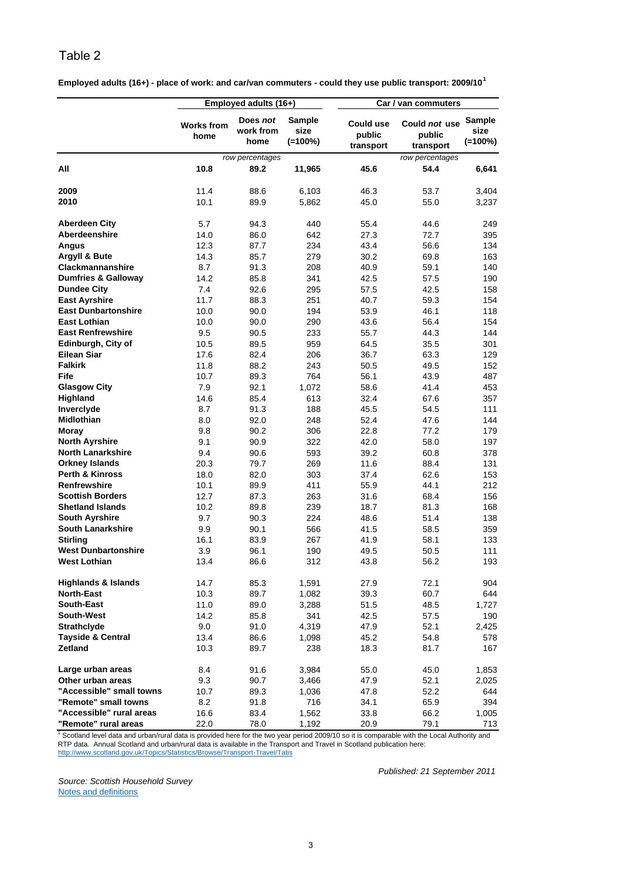| Employed adults (16+) - place of work: and car/van commuters - could they use public transport: 2009/10 <sup>1</sup> |  |
|----------------------------------------------------------------------------------------------------------------------|--|
|----------------------------------------------------------------------------------------------------------------------|--|

|                                                   |                           | Employed adults (16+)         |                                     |                                         | Car / van commuters                  |                                     |
|---------------------------------------------------|---------------------------|-------------------------------|-------------------------------------|-----------------------------------------|--------------------------------------|-------------------------------------|
|                                                   | <b>Works from</b><br>home | Does not<br>work from<br>home | <b>Sample</b><br>size<br>$(=100\%)$ | <b>Could use</b><br>public<br>transport | Could not use<br>public<br>transport | <b>Sample</b><br>size<br>$(=100\%)$ |
|                                                   |                           | row percentages               |                                     |                                         | row percentages                      |                                     |
| All                                               | 10.8                      | 89.2                          | 11,965                              | 45.6                                    | 54.4                                 | 6,641                               |
| 2009                                              | 11.4                      | 88.6                          | 6,103                               | 46.3                                    | 53.7                                 | 3,404                               |
| 2010                                              | 10.1                      | 89.9                          | 5,862                               | 45.0                                    | 55.0                                 | 3,237                               |
| <b>Aberdeen City</b>                              | 5.7                       | 94.3                          | 440                                 | 55.4                                    | 44.6                                 | 249                                 |
| Aberdeenshire                                     | 14.0                      | 86.0                          | 642                                 | 27.3                                    | 72.7                                 | 395                                 |
| Angus                                             | 12.3                      | 87.7                          | 234                                 | 43.4                                    | 56.6                                 | 134                                 |
| Argyll & Bute                                     | 14.3                      | 85.7                          | 279                                 | 30.2                                    | 69.8                                 | 163                                 |
| <b>Clackmannanshire</b>                           | 8.7                       | 91.3                          | 208                                 | 40.9                                    | 59.1                                 | 140                                 |
| <b>Dumfries &amp; Galloway</b>                    | 14.2                      | 85.8                          | 341                                 | 42.5                                    | 57.5                                 | 190                                 |
| <b>Dundee City</b>                                | 7.4                       | 92.6                          | 295                                 | 57.5                                    | 42.5                                 | 158                                 |
| <b>East Ayrshire</b>                              | 11.7                      | 88.3                          | 251                                 | 40.7                                    | 59.3                                 | 154                                 |
| <b>East Dunbartonshire</b>                        | 10.0                      | 90.0                          | 194                                 | 53.9                                    | 46.1                                 | 118                                 |
| <b>East Lothian</b>                               | 10.0                      | 90.0                          | 290                                 | 43.6                                    | 56.4                                 | 154                                 |
| <b>East Renfrewshire</b>                          | 9.5                       | 90.5                          | 233                                 | 55.7                                    | 44.3                                 | 144                                 |
| Edinburgh, City of                                | 10.5                      | 89.5                          | 959                                 | 64.5                                    | 35.5                                 | 301                                 |
| <b>Eilean Siar</b>                                | 17.6                      | 82.4                          | 206                                 | 36.7                                    | 63.3                                 | 129                                 |
| <b>Falkirk</b>                                    | 11.8                      | 88.2                          | 243                                 | 50.5                                    | 49.5                                 | 152                                 |
| Fife                                              | 10.7                      | 89.3                          | 764                                 | 56.1                                    | 43.9                                 | 487                                 |
| <b>Glasgow City</b>                               | 7.9                       | 92.1                          | 1,072                               | 58.6                                    | 41.4                                 | 453                                 |
| Highland                                          | 14.6                      | 85.4                          | 613                                 | 32.4                                    | 67.6                                 | 357                                 |
| Inverclyde                                        | 8.7                       | 91.3                          | 188                                 | 45.5                                    | 54.5                                 | 111                                 |
| <b>Midlothian</b>                                 | 8.0                       | 92.0                          | 248                                 | 52.4                                    | 47.6                                 | 144                                 |
| <b>Moray</b>                                      | 9.8                       | 90.2                          | 306                                 | 22.8                                    | 77.2                                 | 179                                 |
| <b>North Ayrshire</b>                             | 9.1                       |                               | 322                                 | 42.0                                    |                                      |                                     |
| <b>North Lanarkshire</b>                          |                           | 90.9                          |                                     | 39.2                                    | 58.0                                 | 197                                 |
|                                                   | 9.4                       | 90.6                          | 593                                 |                                         | 60.8                                 | 378                                 |
| <b>Orkney Islands</b>                             | 20.3                      | 79.7                          | 269                                 | 11.6                                    | 88.4                                 | 131                                 |
| <b>Perth &amp; Kinross</b>                        | 18.0                      | 82.0                          | 303                                 | 37.4                                    | 62.6                                 | 153                                 |
| <b>Renfrewshire</b>                               | 10.1                      | 89.9                          | 411                                 | 55.9                                    | 44.1                                 | 212                                 |
| <b>Scottish Borders</b>                           | 12.7                      | 87.3                          | 263                                 | 31.6                                    | 68.4                                 | 156                                 |
| <b>Shetland Islands</b>                           | 10.2                      | 89.8                          | 239                                 | 18.7                                    | 81.3                                 | 168                                 |
| <b>South Ayrshire</b>                             | 9.7                       | 90.3                          | 224                                 | 48.6                                    | 51.4                                 | 138                                 |
| <b>South Lanarkshire</b>                          | 9.9                       | 90.1                          | 566                                 | 41.5                                    | 58.5                                 | 359                                 |
| <b>Stirling</b>                                   | 16.1                      | 83.9                          | 267                                 | 41.9                                    | 58.1                                 | 133                                 |
| <b>West Dunbartonshire</b><br><b>West Lothian</b> | 3.9<br>13.4               | 96.1<br>86.6                  | 190<br>312                          | 49.5<br>43.8                            | 50.5<br>56.2                         | 111<br>193                          |
| <b>Highlands &amp; Islands</b>                    | 14.7                      | 85.3                          | 1,591                               | 27.9                                    | 72.1                                 | 904                                 |
| <b>North-East</b>                                 | 10.3                      | 89.7                          | 1,082                               | 39.3                                    | 60.7                                 | 644                                 |
| South-East                                        | 11.0                      | 89.0                          | 3,288                               | 51.5                                    | 48.5                                 | 1,727                               |
| South-West                                        | 14.2                      | 85.8                          | 341                                 | 42.5                                    | 57.5                                 | 190                                 |
| <b>Strathclyde</b>                                | 9.0                       | 91.0                          | 4,319                               | 47.9                                    | 52.1                                 | 2,425                               |
| <b>Tayside &amp; Central</b>                      | 13.4                      | 86.6                          | 1,098                               | 45.2                                    | 54.8                                 | 578                                 |
| <b>Zetland</b>                                    | 10.3                      | 89.7                          | 238                                 | 18.3                                    | 81.7                                 | 167                                 |
| Large urban areas                                 | 8.4                       | 91.6                          | 3,984                               | 55.0                                    | 45.0                                 | 1,853                               |
| Other urban areas                                 | 9.3                       | 90.7                          | 3,466                               | 47.9                                    | 52.1                                 | 2,025                               |
| "Accessible" small towns                          | 10.7                      | 89.3                          | 1,036                               | 47.8                                    | 52.2                                 | 644                                 |
| "Remote" small towns                              | 8.2                       | 91.8                          | 716                                 | 34.1                                    | 65.9                                 | 394                                 |
| "Accessible" rural areas                          | 16.6                      | 83.4                          | 1,562                               | 33.8                                    | 66.2                                 | 1,005                               |
| "Remote" rural areas                              | 22.0                      | 78.0                          | 1,192                               | 20.9                                    | 79.1                                 | 713                                 |

RTP data. Annual Scotland and urban/rural data is available in the Transport and Travel in Scotland publication here:<br><u>http://www.scotland.gov.uk/Topics/Statistics/Browse/Transport-Travel/Tatis</u> <sup>1</sup> Scotland level data and urban/rural data is provided here for the two year period 2009/10 so it is comparable with the Local Authority and

*Source: Scottish Household Survey* Notes and definitions

*Published: 21 September 2011*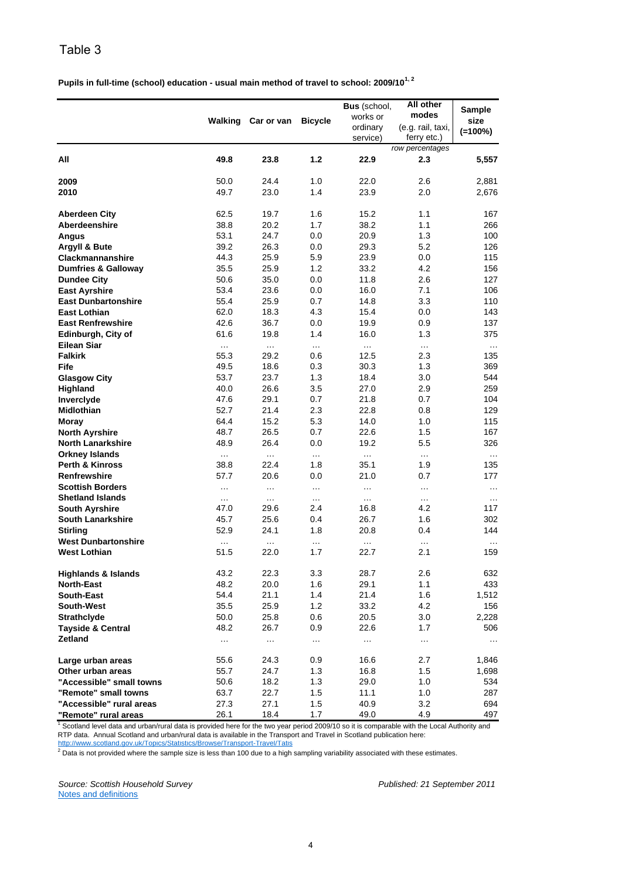**Pupils in full-time (school) education - usual main method of travel to school: 2009/101, 2**

|                                                   | Walking  | Car or van | <b>Bicycle</b> | Bus (school,<br>works or<br>ordinary | All other<br>modes<br>(e.g. rail, taxi, | Sample<br>size |
|---------------------------------------------------|----------|------------|----------------|--------------------------------------|-----------------------------------------|----------------|
|                                                   |          |            |                | service)                             | ferry etc.)                             | $(=100\%)$     |
|                                                   |          |            |                |                                      | row percentages                         |                |
| All                                               | 49.8     | 23.8       | 1.2            | 22.9                                 | 2.3                                     | 5,557          |
| 2009                                              | 50.0     | 24.4       | 1.0            | 22.0                                 | 2.6                                     | 2,881          |
| 2010                                              | 49.7     | 23.0       | 1.4            | 23.9                                 | 2.0                                     | 2,676          |
| <b>Aberdeen City</b>                              | 62.5     | 19.7       | 1.6            | 15.2                                 | 1.1                                     | 167            |
| Aberdeenshire                                     | 38.8     | 20.2       | 1.7            | 38.2                                 | 1.1                                     | 266            |
| <b>Angus</b>                                      | 53.1     | 24.7       | 0.0            | 20.9                                 | 1.3                                     | 100            |
| <b>Argyll &amp; Bute</b>                          | 39.2     | 26.3       | 0.0            | 29.3                                 | 5.2                                     | 126            |
| <b>Clackmannanshire</b>                           | 44.3     | 25.9       | 5.9            | 23.9                                 | 0.0                                     | 115            |
| <b>Dumfries &amp; Galloway</b>                    | 35.5     | 25.9       | 1.2            | 33.2                                 | 4.2                                     | 156            |
| <b>Dundee City</b>                                | 50.6     | 35.0       | 0.0            | 11.8                                 | 2.6                                     | 127            |
| <b>East Ayrshire</b>                              | 53.4     | 23.6       | 0.0            | 16.0                                 | 7.1                                     | 106            |
| <b>East Dunbartonshire</b>                        | 55.4     | 25.9       | 0.7            | 14.8                                 | 3.3                                     | 110            |
| <b>East Lothian</b>                               | 62.0     | 18.3       | 4.3            | 15.4                                 | 0.0                                     | 143            |
| <b>East Renfrewshire</b>                          | 42.6     | 36.7       | 0.0            | 19.9                                 | 0.9                                     | 137            |
| Edinburgh, City of                                | 61.6     | 19.8       | 1.4            | 16.0                                 | 1.3                                     | 375            |
| <b>Eilean Siar</b>                                | $\cdots$ | $\cdots$   | $\cdots$       | $\cdots$                             | $\cdots$                                | $\cdots$       |
| <b>Falkirk</b>                                    | 55.3     | 29.2       | 0.6            | 12.5                                 | 2.3                                     | 135            |
| Fife                                              | 49.5     | 18.6       | 0.3            | 30.3                                 | 1.3                                     | 369            |
| <b>Glasgow City</b>                               | 53.7     | 23.7       | 1.3            | 18.4                                 | 3.0                                     | 544            |
| Highland                                          | 40.0     | 26.6       | 3.5            | 27.0                                 | 2.9                                     | 259            |
| Inverclyde                                        | 47.6     | 29.1       | 0.7            | 21.8                                 | 0.7                                     | 104            |
| <b>Midlothian</b>                                 | 52.7     | 21.4       | 2.3            | 22.8                                 | 0.8                                     | 129            |
|                                                   | 64.4     | 15.2       | 5.3            | 14.0                                 | 1.0                                     | 115            |
| Moray                                             | 48.7     | 26.5       | 0.7            | 22.6                                 | 1.5                                     | 167            |
| <b>North Ayrshire</b><br><b>North Lanarkshire</b> | 48.9     | 26.4       | 0.0            | 19.2                                 | 5.5                                     | 326            |
|                                                   |          |            |                |                                      |                                         |                |
| <b>Orkney Islands</b>                             | $\cdots$ | $\ldots$   | $\cdots$       | $\cdots$                             | $\cdots$                                | $\cdots$       |
| <b>Perth &amp; Kinross</b>                        | 38.8     | 22.4       | 1.8            | 35.1                                 | 1.9                                     | 135            |
| <b>Renfrewshire</b>                               | 57.7     | 20.6       | 0.0            | 21.0                                 | 0.7                                     | 177            |
| <b>Scottish Borders</b>                           | $\cdots$ | $\cdots$   | $\ddotsc$      | $\cdots$                             | $\cdots$                                | $\cdots$       |
| <b>Shetland Islands</b>                           | $\ldots$ | $\cdots$   | $\cdots$       | $\cdots$                             | $\ldots$                                | $\cdots$       |
| <b>South Ayrshire</b>                             | 47.0     | 29.6       | 2.4            | 16.8                                 | 4.2                                     | 117            |
| <b>South Lanarkshire</b>                          | 45.7     | 25.6       | 0.4            | 26.7                                 | 1.6                                     | 302            |
| <b>Stirling</b>                                   | 52.9     | 24.1       | 1.8            | 20.8                                 | 0.4                                     | 144            |
| <b>West Dunbartonshire</b>                        | $\cdots$ | $\cdots$   | $\ddotsc$      | $\cdots$                             | $\cdots$                                | $\cdots$       |
| <b>West Lothian</b>                               | 51.5     | 22.0       | 1.7            | 22.7                                 | 2.1                                     | 159            |
| <b>Highlands &amp; Islands</b>                    | 43.2     | 22.3       | 3.3            | 28.7                                 | 2.6                                     | 632            |
| North-East                                        | 48.2     | 20.0       | 1.6            | 29.1                                 | 1.1                                     | 433            |
| South-East                                        | 54.4     | 21.1       | 1.4            | 21.4                                 | 1.6                                     | 1,512          |
| South-West                                        | 35.5     | 25.9       | 1.2            | 33.2                                 | 4.2                                     | 156            |
| <b>Strathclyde</b>                                | 50.0     | 25.8       | 0.6            | 20.5                                 | 3.0                                     | 2,228          |
| <b>Tayside &amp; Central</b>                      | 48.2     | 26.7       | 0.9            | 22.6                                 | 1.7                                     | 506            |
| <b>Zetland</b>                                    | .        | $\cdots$   | $\cdots$       | $\cdots$                             | $\sim$ .                                | $\cdots$       |
| Large urban areas                                 | 55.6     | 24.3       | 0.9            | 16.6                                 | 2.7                                     | 1,846          |
| Other urban areas                                 | 55.7     | 24.7       | 1.3            | 16.8                                 | 1.5                                     | 1,698          |
| "Accessible" small towns                          | 50.6     | 18.2       | $1.3$          | 29.0                                 | 1.0                                     | 534            |
| "Remote" small towns                              | 63.7     | 22.7       | 1.5            | 11.1                                 | 1.0                                     | 287            |
| "Accessible" rural areas                          | 27.3     | 27.1       | 1.5            | 40.9                                 | 3.2                                     | 694            |
| "Remote" rural areas                              | 26.1     | 18.4       | 1.7            | 49.0                                 | 4.9                                     | 497            |

<sup>1</sup> Scotland level data and urban/rural data is provided here for the two year period 2009/10 so it is comparable with the Local Authority and RTP data. Annual Scotland and urban/rural data is available in the Transport and Travel in Scotland publication here:

http://www.scotland.gov.uk/Topics/Statistics/Browse/Transport-Travel/Tatis<br><sup>2</sup> Data is not provided where the sample size is less than 100 due to a high sampling variability associated with these estimates.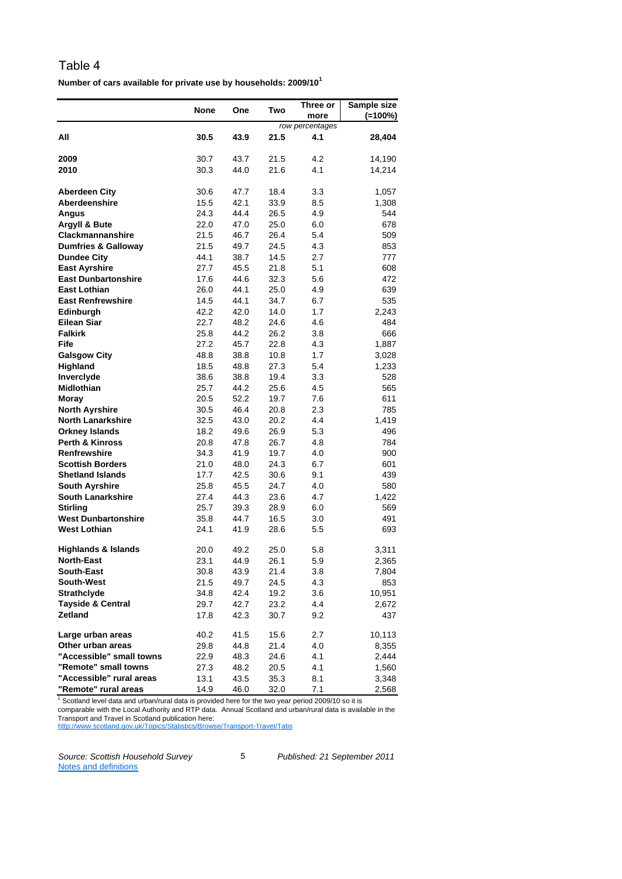**Number of cars available for private use by households: 2009/10<sup>1</sup>**

|                                | <b>None</b> | One  | Two  | Three or<br>more | Sample size<br>$(=100\%)$ |
|--------------------------------|-------------|------|------|------------------|---------------------------|
|                                |             |      |      | row percentages  |                           |
| All                            | 30.5        | 43.9 | 21.5 | 4.1              | 28,404                    |
| 2009                           | 30.7        | 43.7 | 21.5 | 4.2              | 14,190                    |
| 2010                           | 30.3        | 44.0 | 21.6 | 4.1              | 14,214                    |
|                                |             |      |      |                  |                           |
| <b>Aberdeen City</b>           | 30.6        | 47.7 | 18.4 | 3.3              | 1,057                     |
| Aberdeenshire                  | 15.5        | 42.1 | 33.9 | 8.5              | 1,308                     |
| Angus                          | 24.3        | 44.4 | 26.5 | 4.9              | 544                       |
| Argyll & Bute                  | 22.0        | 47.0 | 25.0 | 6.0              | 678                       |
| <b>Clackmannanshire</b>        | 21.5        | 46.7 | 26.4 | 5.4              | 509                       |
| <b>Dumfries &amp; Galloway</b> | 21.5        | 49.7 | 24.5 | 4.3              | 853                       |
| <b>Dundee City</b>             | 44.1        | 38.7 | 14.5 | 2.7              | 777                       |
| <b>East Ayrshire</b>           | 27.7        | 45.5 | 21.8 | 5.1              | 608                       |
| <b>East Dunbartonshire</b>     | 17.6        | 44.6 | 32.3 | 5.6              | 472                       |
| <b>East Lothian</b>            | 26.0        | 44.1 | 25.0 | 4.9              | 639                       |
| <b>East Renfrewshire</b>       | 14.5        | 44.1 | 34.7 | 6.7              | 535                       |
| Edinburgh                      | 42.2        | 42.0 | 14.0 | 1.7              | 2,243                     |
| <b>Eilean Siar</b>             | 22.7        | 48.2 | 24.6 | 4.6              | 484                       |
| <b>Falkirk</b>                 | 25.8        | 44.2 | 26.2 | 3.8              | 666                       |
| Fife                           | 27.2        | 45.7 | 22.8 | 4.3              | 1,887                     |
| <b>Galsgow City</b>            | 48.8        | 38.8 | 10.8 | 1.7              | 3,028                     |
| Highland                       | 18.5        | 48.8 | 27.3 | 5.4              | 1,233                     |
| Inverclyde                     | 38.6        | 38.8 | 19.4 | 3.3              | 528                       |
| <b>Midlothian</b>              | 25.7        | 44.2 | 25.6 | 4.5              | 565                       |
| Moray                          | 20.5        | 52.2 | 19.7 | 7.6              | 611                       |
| <b>North Ayrshire</b>          | 30.5        | 46.4 | 20.8 | 2.3              | 785                       |
| <b>North Lanarkshire</b>       | 32.5        | 43.0 | 20.2 | 4.4              | 1,419                     |
| <b>Orkney Islands</b>          | 18.2        | 49.6 | 26.9 | 5.3              | 496                       |
| <b>Perth &amp; Kinross</b>     | 20.8        | 47.8 | 26.7 | 4.8              | 784                       |
| <b>Renfrewshire</b>            | 34.3        | 41.9 | 19.7 | 4.0              | 900                       |
| <b>Scottish Borders</b>        | 21.0        | 48.0 | 24.3 | 6.7              | 601                       |
| <b>Shetland Islands</b>        | 17.7        | 42.5 | 30.6 | 9.1              | 439                       |
| <b>South Ayrshire</b>          | 25.8        | 45.5 | 24.7 | 4.0              | 580                       |
| <b>South Lanarkshire</b>       | 27.4        | 44.3 | 23.6 | 4.7              | 1,422                     |
| <b>Stirling</b>                | 25.7        | 39.3 | 28.9 | 6.0              | 569                       |
| <b>West Dunbartonshire</b>     | 35.8        | 44.7 | 16.5 | 3.0              | 491                       |
| <b>West Lothian</b>            | 24.1        | 41.9 | 28.6 | 5.5              | 693                       |
| <b>Highlands &amp; Islands</b> | 20.0        | 49.2 | 25.0 | 5.8              | 3,311                     |
| <b>North-East</b>              | 23.1        | 44.9 | 26.1 | 5.9              | 2,365                     |
| South-East                     | 30.8        | 43.9 | 21.4 | 3.8              | 7,804                     |
| South-West                     | 21.5        | 49.7 | 24.5 | 4.3              | 853                       |
| Strathclyde                    | 34.8        | 42.4 | 19.2 | 3.6              | 10,951                    |
| <b>Tayside &amp; Central</b>   | 29.7        | 42.7 | 23.2 | 4.4              | 2,672                     |
| <b>Zetland</b>                 | 17.8        | 42.3 | 30.7 | 9.2              | 437                       |
| Large urban areas              | 40.2        | 41.5 | 15.6 | 2.7              | 10,113                    |
| Other urban areas              | 29.8        | 44.8 | 21.4 | 4.0              | 8,355                     |
| "Accessible" small towns       | 22.9        | 48.3 | 24.6 | 4.1              | 2,444                     |
| "Remote" small towns           | 27.3        | 48.2 | 20.5 | 4.1              | 1,560                     |
| "Accessible" rural areas       | 13.1        | 43.5 | 35.3 | 8.1              | 3,348                     |
| "Remote" rural areas           | 14.9        | 46.0 | 32.0 | 7.1              | 2,568                     |

 $1$  Scotland level data and urban/rural data is provided here for the two year period 2009/10 so it is comparable with the Local Authority and RTP data. Annual Scotland and urban/rural data is available in the Transport and Travel in Scotland publication here: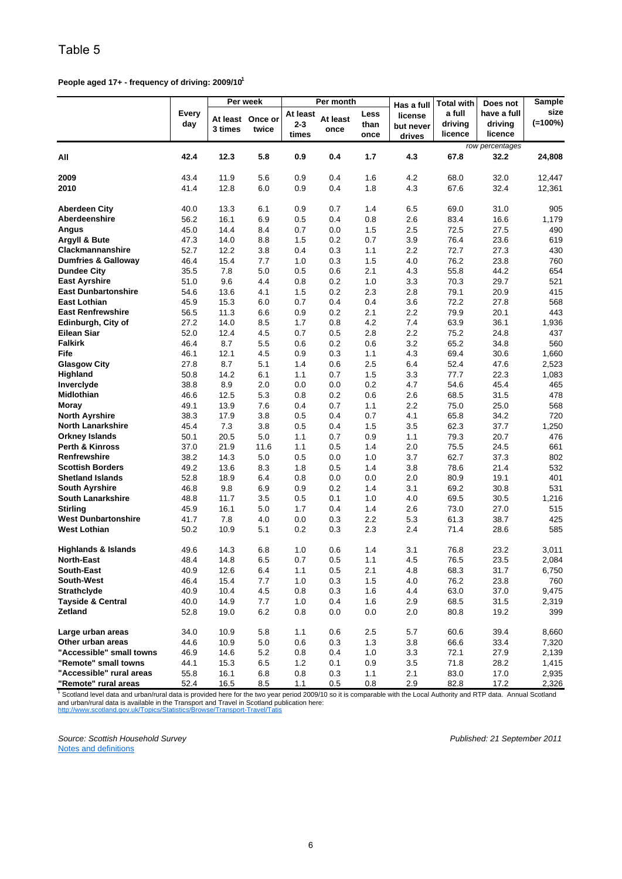**People aged 17+ - frequency of driving: 2009/101**

|                                |                     |                     | Per week         |                              | Per month        |                      |                                              | Total with                   | Does not                          | Sample             |
|--------------------------------|---------------------|---------------------|------------------|------------------------------|------------------|----------------------|----------------------------------------------|------------------------------|-----------------------------------|--------------------|
|                                | <b>Every</b><br>day | At least<br>3 times | Once or<br>twice | At least<br>$2 - 3$<br>times | At least<br>once | Less<br>than<br>once | Has a full<br>license<br>but never<br>drives | a full<br>driving<br>licence | have a full<br>driving<br>licence | size<br>$(=100\%)$ |
|                                |                     |                     |                  |                              |                  |                      |                                              |                              | row percentages                   |                    |
| All                            | 42.4                | 12.3                | 5.8              | 0.9                          | 0.4              | 1.7                  | 4.3                                          | 67.8                         | 32.2                              | 24,808             |
|                                |                     |                     |                  |                              |                  |                      |                                              |                              |                                   |                    |
| 2009                           | 43.4                | 11.9                | 5.6              | 0.9                          | 0.4              | 1.6                  | 4.2                                          | 68.0                         | 32.0                              | 12,447             |
| 2010                           | 41.4                | 12.8                | 6.0              | 0.9                          | 0.4              | 1.8                  | 4.3                                          | 67.6                         | 32.4                              | 12,361             |
| <b>Aberdeen City</b>           | 40.0                | 13.3                | 6.1              | 0.9                          | 0.7              | 1.4                  | 6.5                                          | 69.0                         | 31.0                              | 905                |
| Aberdeenshire                  | 56.2                | 16.1                | 6.9              | 0.5                          | 0.4              | 0.8                  | 2.6                                          | 83.4                         | 16.6                              | 1,179              |
| Angus                          | 45.0                | 14.4                | 8.4              | 0.7                          | 0.0              | 1.5                  | 2.5                                          | 72.5                         | 27.5                              | 490                |
| Argyll & Bute                  | 47.3                | 14.0                | 8.8              | 1.5                          | 0.2              | 0.7                  | 3.9                                          | 76.4                         | 23.6                              | 619                |
| Clackmannanshire               | 52.7                | 12.2                | 3.8              | 0.4                          | 0.3              | 1.1                  | 2.2                                          | 72.7                         | 27.3                              | 430                |
| <b>Dumfries &amp; Galloway</b> | 46.4                | 15.4                | 7.7              | 1.0                          | 0.3              | 1.5                  | 4.0                                          | 76.2                         | 23.8                              | 760                |
| <b>Dundee City</b>             | 35.5                | 7.8                 | 5.0              | 0.5                          | 0.6              | 2.1                  | 4.3                                          | 55.8                         | 44.2                              | 654                |
| <b>East Ayrshire</b>           | 51.0                | 9.6                 | 4.4              | 0.8                          | 0.2              | 1.0                  | 3.3                                          | 70.3                         | 29.7                              | 521                |
| <b>East Dunbartonshire</b>     | 54.6                | 13.6                | 4.1              | 1.5                          | 0.2              | 2.3                  | 2.8                                          | 79.1                         | 20.9                              | 415                |
| <b>East Lothian</b>            | 45.9                | 15.3                | 6.0              | 0.7                          | 0.4              | 0.4                  | 3.6                                          | 72.2                         | 27.8                              | 568                |
|                                |                     | 11.3                |                  |                              |                  |                      | 2.2                                          |                              |                                   |                    |
| <b>East Renfrewshire</b>       | 56.5                |                     | 6.6              | 0.9                          | 0.2              | 2.1                  |                                              | 79.9                         | 20.1                              | 443                |
| Edinburgh, City of             | 27.2                | 14.0                | 8.5              | 1.7                          | 0.8              | 4.2                  | 7.4                                          | 63.9                         | 36.1                              | 1,936              |
| Eilean Siar                    | 52.0                | 12.4                | 4.5              | 0.7                          | 0.5              | 2.8                  | 2.2                                          | 75.2                         | 24.8                              | 437                |
| <b>Falkirk</b>                 | 46.4                | 8.7                 | 5.5              | 0.6                          | 0.2              | 0.6                  | 3.2                                          | 65.2                         | 34.8                              | 560                |
| Fife                           | 46.1                | 12.1                | 4.5              | 0.9                          | 0.3              | 1.1                  | 4.3                                          | 69.4                         | 30.6                              | 1,660              |
| <b>Glasgow City</b>            | 27.8                | 8.7                 | 5.1              | 1.4                          | 0.6              | 2.5                  | 6.4                                          | 52.4                         | 47.6                              | 2,523              |
| Highland                       | 50.8                | 14.2                | 6.1              | 1.1                          | 0.7              | 1.5                  | 3.3                                          | 77.7                         | 22.3                              | 1,083              |
| Inverclyde                     | 38.8                | 8.9                 | 2.0              | 0.0                          | 0.0              | 0.2                  | 4.7                                          | 54.6                         | 45.4                              | 465                |
| Midlothian                     | 46.6                | 12.5                | 5.3              | 0.8                          | 0.2              | 0.6                  | 2.6                                          | 68.5                         | 31.5                              | 478                |
| Moray                          | 49.1                | 13.9                | 7.6              | 0.4                          | 0.7              | 1.1                  | 2.2                                          | 75.0                         | 25.0                              | 568                |
| <b>North Ayrshire</b>          | 38.3                | 17.9                | 3.8              | 0.5                          | 0.4              | 0.7                  | 4.1                                          | 65.8                         | 34.2                              | 720                |
| <b>North Lanarkshire</b>       | 45.4                | 7.3                 | 3.8              | 0.5                          | 0.4              | 1.5                  | 3.5                                          | 62.3                         | 37.7                              | 1,250              |
| <b>Orkney Islands</b>          | 50.1                | 20.5                | 5.0              | 1.1                          | 0.7              | 0.9                  | 1.1                                          | 79.3                         | 20.7                              | 476                |
| <b>Perth &amp; Kinross</b>     | 37.0                | 21.9                | 11.6             | 1.1                          | 0.5              | 1.4                  | 2.0                                          | 75.5                         | 24.5                              | 661                |
| Renfrewshire                   | 38.2                | 14.3                | 5.0              | 0.5                          | 0.0              | 1.0                  | 3.7                                          | 62.7                         | 37.3                              | 802                |
| <b>Scottish Borders</b>        | 49.2                | 13.6                | 8.3              | 1.8                          | 0.5              | 1.4                  | 3.8                                          | 78.6                         | 21.4                              | 532                |
| <b>Shetland Islands</b>        | 52.8                | 18.9                | 6.4              | 0.8                          | 0.0              | 0.0                  | 2.0                                          | 80.9                         | 19.1                              | 401                |
| <b>South Ayrshire</b>          | 46.8                | 9.8                 | 6.9              | 0.9                          | 0.2              | 1.4                  | 3.1                                          | 69.2                         | 30.8                              | 531                |
| <b>South Lanarkshire</b>       | 48.8                | 11.7                | 3.5              | 0.5                          | 0.1              | 1.0                  | 4.0                                          | 69.5                         | 30.5                              | 1,216              |
| <b>Stirling</b>                | 45.9                | 16.1                | 5.0              | 1.7                          | 0.4              | 1.4                  | 2.6                                          | 73.0                         | 27.0                              | 515                |
| <b>West Dunbartonshire</b>     | 41.7                | 7.8                 | 4.0              | 0.0                          | 0.3              | 2.2                  | 5.3                                          | 61.3                         | 38.7                              | 425                |
| <b>West Lothian</b>            | 50.2                | 10.9                | 5.1              | 0.2                          | 0.3              | 2.3                  | 2.4                                          | 71.4                         | 28.6                              | 585                |
|                                |                     |                     |                  |                              |                  |                      |                                              |                              |                                   |                    |
| <b>Highlands &amp; Islands</b> | 49.6                | 14.3                | 6.8              | 1.0                          | 0.6              | 1.4                  | 3.1                                          | 76.8                         | 23.2                              | 3,011              |
| <b>North-East</b>              | 48.4                | 14.8                | 6.5              | 0.7                          | 0.5              | $1.1$                | 4.5                                          | 76.5                         | 23.5                              | 2,084              |
| <b>South-East</b>              | 40.9                | 12.6                | 6.4              | 1.1                          | 0.5              | 2.1                  | 4.8                                          | 68.3                         | 31.7                              | 6,750              |
| <b>South-West</b>              | 46.4                | 15.4                | 7.7              | 1.0                          | 0.3              | 1.5                  | 4.0                                          | 76.2                         | 23.8                              | 760                |
| <b>Strathclyde</b>             | 40.9                | 10.4                | 4.5              | 0.8                          | 0.3              | 1.6                  | 4.4                                          | 63.0                         | 37.0                              | 9,475              |
| <b>Tayside &amp; Central</b>   | 40.0                | 14.9                | 7.7              | 1.0                          | 0.4              | 1.6                  | 2.9                                          | 68.5                         | 31.5                              | 2,319              |
| Zetland                        | 52.8                | 19.0                | 6.2              | 0.8                          | 0.0              | 0.0                  | 2.0                                          | 80.8                         | 19.2                              | 399                |
| Large urban areas              | 34.0                | 10.9                | 5.8              | 1.1                          | 0.6              | 2.5                  | 5.7                                          | 60.6                         | 39.4                              | 8,660              |
| Other urban areas              | 44.6                | 10.9                | 5.0              | 0.6                          | 0.3              | 1.3                  | 3.8                                          | 66.6                         | 33.4                              | 7,320              |
| "Accessible" small towns       | 46.9                | 14.6                | 5.2              | 0.8                          | 0.4              | 1.0                  | 3.3                                          | 72.1                         | 27.9                              | 2,139              |
| "Remote" small towns           | 44.1                | 15.3                | 6.5              | 1.2                          | 0.1              | 0.9                  | 3.5                                          | 71.8                         | 28.2                              | 1,415              |
| "Accessible" rural areas       | 55.8                | 16.1                | 6.8              | 0.8                          | 0.3              | 1.1                  | 2.1                                          | 83.0                         | 17.0                              | 2,935              |
| "Remote" rural areas           | 52.4                | 16.5                | 8.5              | 1.1                          | 0.5              | 0.8                  | 2.9                                          | 82.8                         | 17.2                              | 2,326              |

http://www.scotland.gov.uk/Topics/Statistics/Browse/Transport-Travel/Tatis <sup>1</sup> Scotland level data and urban/rural data is provided here for the two year period 2009/10 so it is comparable with the Local Authority and RTP data. Annual Scotland and urban/rural data is available in the Transport and Travel in Scotland publication here: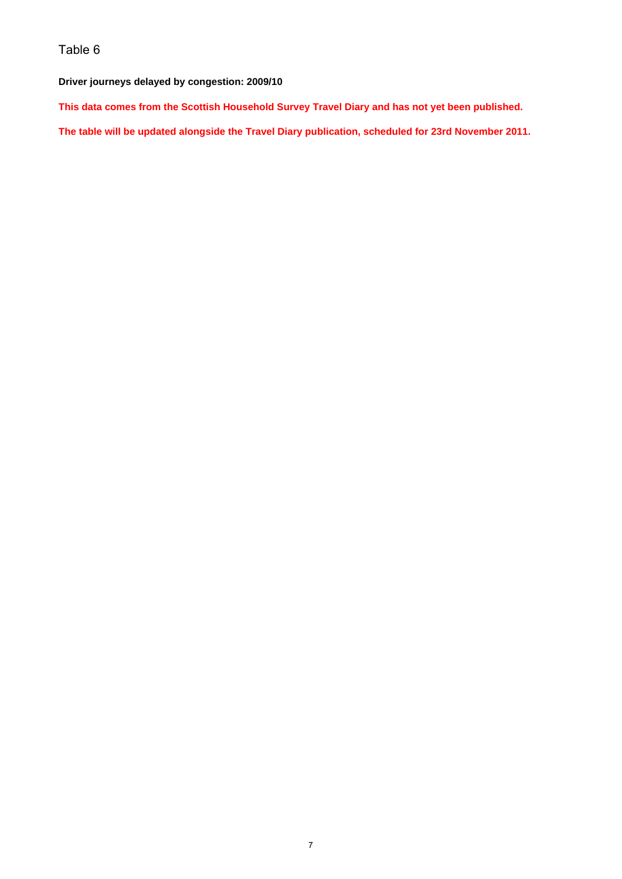#### **Driver journeys delayed by congestion: 2009/10**

**This data comes from the Scottish Household Survey Travel Diary and has not yet been published.**

**The table will be updated alongside the Travel Diary publication, scheduled for 23rd November 2011.**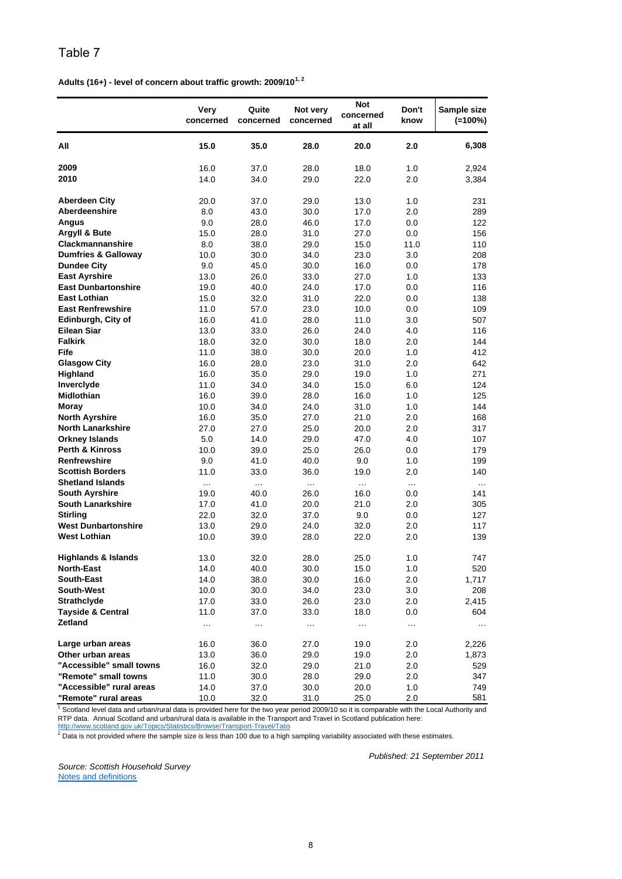**Adults (16+) - level of concern about traffic growth: 2009/101, 2**

|                                                                                                                                                         | Very<br>concerned | Quite<br>concerned | Not very<br>concerned | <b>Not</b><br>concerned<br>at all | Don't<br>know | Sample size<br>$(=100\%)$ |
|---------------------------------------------------------------------------------------------------------------------------------------------------------|-------------------|--------------------|-----------------------|-----------------------------------|---------------|---------------------------|
| All                                                                                                                                                     | 15.0              | 35.0               | 28.0                  | 20.0                              | 2.0           | 6,308                     |
| 2009                                                                                                                                                    | 16.0              | 37.0               | 28.0                  | 18.0                              | 1.0           | 2,924                     |
| 2010                                                                                                                                                    | 14.0              | 34.0               | 29.0                  | 22.0                              | 2.0           | 3,384                     |
|                                                                                                                                                         |                   |                    |                       |                                   |               |                           |
| <b>Aberdeen City</b><br>Aberdeenshire                                                                                                                   | 20.0              | 37.0               | 29.0                  | 13.0                              | 1.0           | 231                       |
|                                                                                                                                                         | 8.0               | 43.0               | 30.0                  | 17.0                              | 2.0           | 289                       |
| Angus<br>Argyll & Bute                                                                                                                                  | 9.0<br>15.0       | 28.0<br>28.0       | 46.0<br>31.0          | 17.0<br>27.0                      | 0.0<br>0.0    | 122<br>156                |
| Clackmannanshire                                                                                                                                        | 8.0               | 38.0               | 29.0                  | 15.0                              | 11.0          | 110                       |
| <b>Dumfries &amp; Galloway</b>                                                                                                                          | 10.0              | 30.0               | 34.0                  | 23.0                              | 3.0           | 208                       |
| <b>Dundee City</b>                                                                                                                                      | 9.0               | 45.0               | 30.0                  | 16.0                              | 0.0           | 178                       |
| <b>East Ayrshire</b>                                                                                                                                    | 13.0              | 26.0               | 33.0                  | 27.0                              | 1.0           | 133                       |
| <b>East Dunbartonshire</b>                                                                                                                              | 19.0              | 40.0               | 24.0                  | 17.0                              | 0.0           | 116                       |
| <b>East Lothian</b>                                                                                                                                     | 15.0              | 32.0               | 31.0                  | 22.0                              | 0.0           | 138                       |
| <b>East Renfrewshire</b>                                                                                                                                | 11.0              | 57.0               | 23.0                  | 10.0                              | 0.0           | 109                       |
| Edinburgh, City of                                                                                                                                      | 16.0              | 41.0               | 28.0                  | 11.0                              | 3.0           | 507                       |
| Eilean Siar                                                                                                                                             | 13.0              | 33.0               | 26.0                  | 24.0                              | 4.0           | 116                       |
| <b>Falkirk</b>                                                                                                                                          | 18.0              | 32.0               | 30.0                  | 18.0                              | 2.0           | 144                       |
| Fife                                                                                                                                                    | 11.0              | 38.0               | 30.0                  | 20.0                              | 1.0           | 412                       |
| <b>Glasgow City</b>                                                                                                                                     | 16.0              | 28.0               | 23.0                  | 31.0                              | 2.0           | 642                       |
| Highland                                                                                                                                                | 16.0              | 35.0               | 29.0                  | 19.0                              | 1.0           | 271                       |
| Inverclyde                                                                                                                                              | 11.0              | 34.0               | 34.0                  | 15.0                              | 6.0           | 124                       |
| <b>Midlothian</b>                                                                                                                                       | 16.0              | 39.0               | 28.0                  | 16.0                              | 1.0           | 125                       |
| Moray                                                                                                                                                   | 10.0              | 34.0               | 24.0                  | 31.0                              | 1.0           | 144                       |
| <b>North Ayrshire</b>                                                                                                                                   | 16.0              | 35.0               | 27.0                  | 21.0                              | 2.0           | 168                       |
| <b>North Lanarkshire</b>                                                                                                                                | 27.0              | 27.0               | 25.0                  | 20.0                              | 2.0           | 317                       |
| <b>Orkney Islands</b>                                                                                                                                   | 5.0               | 14.0               | 29.0                  | 47.0                              | 4.0           | 107                       |
| <b>Perth &amp; Kinross</b>                                                                                                                              | 10.0              | 39.0               | 25.0                  | 26.0                              | 0.0           | 179                       |
| <b>Renfrewshire</b>                                                                                                                                     | 9.0               | 41.0               | 40.0                  | 9.0                               | 1.0           | 199                       |
| <b>Scottish Borders</b>                                                                                                                                 | 11.0              | 33.0               | 36.0                  | 19.0                              | 2.0           | 140                       |
| <b>Shetland Islands</b><br><b>South Ayrshire</b>                                                                                                        | $\cdots$          | $\cdots$           | $\cdots$              | $\cdots$                          | $\cdots$      | $\cdots$                  |
| <b>South Lanarkshire</b>                                                                                                                                | 19.0<br>17.0      | 40.0<br>41.0       | 26.0<br>20.0          | 16.0<br>21.0                      | 0.0<br>2.0    | 141<br>305                |
| <b>Stirling</b>                                                                                                                                         | 22.0              | 32.0               | 37.0                  | 9.0                               | 0.0           | 127                       |
| <b>West Dunbartonshire</b>                                                                                                                              | 13.0              | 29.0               | 24.0                  | 32.0                              | 2.0           | 117                       |
| <b>West Lothian</b>                                                                                                                                     | 10.0              | 39.0               | 28.0                  | 22.0                              | 2.0           | 139                       |
|                                                                                                                                                         |                   |                    |                       |                                   |               |                           |
| Highlands & Islands                                                                                                                                     | 13.0              | 32.0               | 28.0                  | 25.0                              | 1.0           | 747                       |
| <b>North-East</b>                                                                                                                                       | 14.0              | 40.0               | 30.0                  | 15.0                              | 1.0           | 520                       |
| <b>South-East</b>                                                                                                                                       | 14.0              | 38.0               | 30.0                  | 16.0                              | 2.0           | 1,717                     |
| South-West                                                                                                                                              | 10.0              | 30.0               | 34.0                  | 23.0                              | 3.0           | 208                       |
| <b>Strathclyde</b>                                                                                                                                      | 17.0              | 33.0               | 26.0                  | 23.0                              | 2.0           | 2,415                     |
| <b>Tayside &amp; Central</b>                                                                                                                            | 11.0              | 37.0               | 33.0                  | 18.0                              | 0.0           | 604                       |
| Zetland                                                                                                                                                 | $\cdots$          | $\ddotsc$          | $\ddotsc$             | $\cdots$                          | $\ldots$      | $\cdots$                  |
| Large urban areas                                                                                                                                       | 16.0              | 36.0               | 27.0                  | 19.0                              | 2.0           | 2,226                     |
| Other urban areas                                                                                                                                       | 13.0              | 36.0               | 29.0                  | 19.0                              | 2.0           | 1,873                     |
| "Accessible" small towns                                                                                                                                | 16.0              | 32.0               | 29.0                  | 21.0                              | 2.0           | 529                       |
| "Remote" small towns                                                                                                                                    | 11.0              | 30.0               | 28.0                  | 29.0                              | 2.0           | 347                       |
| "Accessible" rural areas                                                                                                                                | 14.0              | 37.0               | 30.0                  | 20.0                              | 1.0           | 749                       |
| "Remote" rural areas                                                                                                                                    | 10.0              | 32.0               | 31.0                  | 25.0                              | 2.0           | 581                       |
| <sup>1</sup> Scotland level data and urban/rural data is provided here for the two year period 2009/10 so it is comparable with the Local Authority and |                   |                    |                       |                                   |               |                           |

RTP data. Annual Scotland and urban/rural data is available in the Transport and Travel in Scotland publication here:

http://www.scotland.gov.uk/Topics/Statistics/Browse/Transport-Travel/Tatis<br><sup>2</sup> Data is not provided where the sample size is less than 100 due to a high sampling variability associated with these estimates.

*Source: Scottish Household Survey* Notes and definitions

*Published: 21 September 2011*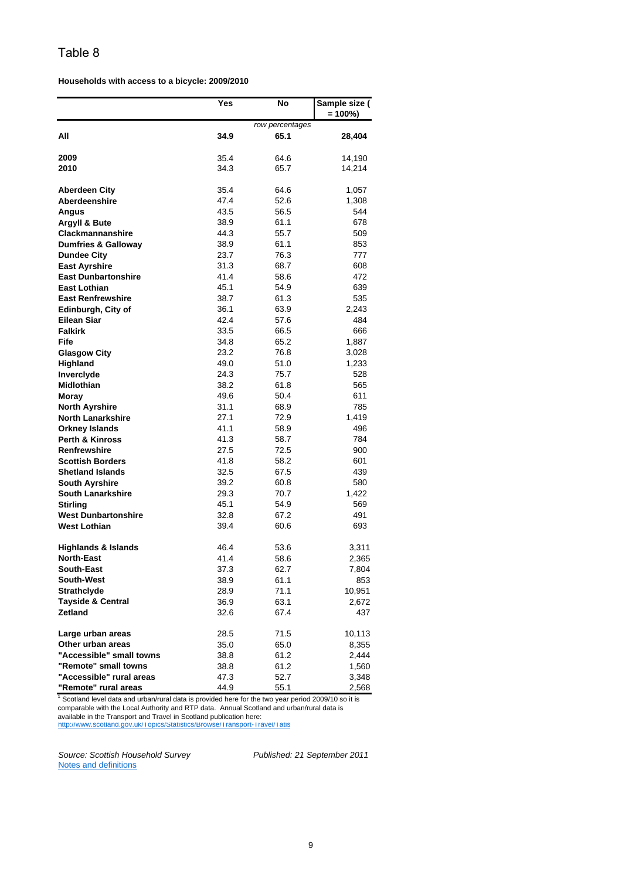**Households with access to a bicycle: 2009/2010**

|                                | Yes  | No              | Sample size (<br>$= 100\%)$ |
|--------------------------------|------|-----------------|-----------------------------|
|                                |      | row percentages |                             |
| All                            | 34.9 | 65.1            | 28,404                      |
| 2009                           | 35.4 | 64.6            | 14,190                      |
| 2010                           | 34.3 | 65.7            | 14,214                      |
|                                |      |                 |                             |
| <b>Aberdeen City</b>           | 35.4 | 64.6            | 1,057                       |
| <b>Aberdeenshire</b>           | 47.4 | 52.6            | 1,308                       |
| Angus                          | 43.5 | 56.5            | 544                         |
| <b>Argyll &amp; Bute</b>       | 38.9 | 61.1            | 678                         |
| Clackmannanshire               | 44.3 | 55.7            | 509                         |
| <b>Dumfries &amp; Galloway</b> | 38.9 | 61.1            | 853                         |
| <b>Dundee City</b>             | 23.7 | 76.3            | 777                         |
| <b>East Ayrshire</b>           | 31.3 | 68.7            | 608                         |
| <b>East Dunbartonshire</b>     | 41.4 | 58.6            | 472                         |
| <b>East Lothian</b>            | 45.1 | 54.9            | 639                         |
| <b>East Renfrewshire</b>       | 38.7 | 61.3            | 535                         |
| Edinburgh, City of             | 36.1 | 63.9            | 2,243                       |
| <b>Eilean Siar</b>             | 42.4 | 57.6            | 484                         |
| <b>Falkirk</b>                 | 33.5 | 66.5            | 666                         |
| Fife                           | 34.8 | 65.2            | 1,887                       |
| <b>Glasgow City</b>            | 23.2 | 76.8            | 3,028                       |
| Highland                       | 49.0 | 51.0            | 1,233                       |
| Inverclyde                     | 24.3 | 75.7            | 528                         |
| Midlothian                     | 38.2 | 61.8            | 565                         |
| Moray                          | 49.6 | 50.4            | 611                         |
| <b>North Ayrshire</b>          | 31.1 | 68.9            | 785                         |
| <b>North Lanarkshire</b>       | 27.1 | 72.9            | 1,419                       |
| <b>Orkney Islands</b>          | 41.1 | 58.9            | 496                         |
| <b>Perth &amp; Kinross</b>     | 41.3 | 58.7            | 784                         |
| <b>Renfrewshire</b>            | 27.5 | 72.5            | 900                         |
| <b>Scottish Borders</b>        | 41.8 | 58.2            | 601                         |
| <b>Shetland Islands</b>        | 32.5 | 67.5            | 439                         |
| <b>South Ayrshire</b>          | 39.2 | 60.8            | 580                         |
| <b>South Lanarkshire</b>       | 29.3 | 70.7            | 1,422                       |
| <b>Stirling</b>                | 45.1 | 54.9            | 569                         |
| <b>West Dunbartonshire</b>     | 32.8 | 67.2            | 491                         |
| <b>West Lothian</b>            | 39.4 | 60.6            | 693                         |
| <b>Highlands &amp; Islands</b> | 46.4 | 53.6            | 3,311                       |
| <b>North-East</b>              | 41.4 | 58.6            | 2,365                       |
| <b>South-East</b>              | 37.3 | 62.7            | 7,804                       |
| South-West                     | 38.9 | 61.1            | 853                         |
| <b>Strathclyde</b>             | 28.9 | 71.1            | 10,951                      |
| <b>Tayside &amp; Central</b>   | 36.9 | 63.1            | 2,672                       |
| Zetland                        | 32.6 | 67.4            | 437                         |
| Large urban areas              | 28.5 | 71.5            | 10,113                      |
| Other urban areas              | 35.0 | 65.0            | 8,355                       |
| "Accessible" small towns       | 38.8 | 61.2            | 2,444                       |
| "Remote" small towns           | 38.8 | 61.2            | 1,560                       |
| "Accessible" rural areas       | 47.3 | 52.7            | 3,348                       |
| "Remote" rural areas           | 44.9 | 551             | 2.568                       |

**"Remote" rural areas** 44.9 55.1 2,568<br><sup>1</sup> Scotland level data and urban/rural data is provided here for the two year period 2009/10 so it is comparable with the Local Authority and RTP data. Annual Scotland and urban/rural data is

available in the Transport and Travel in Scotland publication here:<br>http://www.scotland.gov.uk/Topics/Statistics/Browse/Transport-Travel/Tatis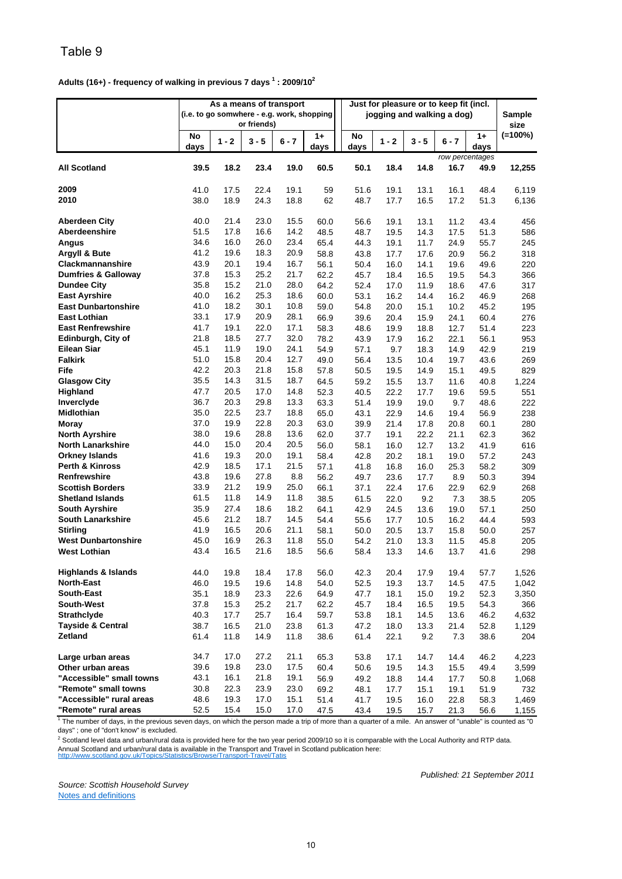#### **Adults (16+) - frequency of walking in previous 7 days 1 : 2009/102**

|                                                                                                                                                                       | As a means of transport<br>(i.e. to go somwhere - e.g. work, shopping<br>or friends) |         |         |         |              | Just for pleasure or to keep fit (incl.<br>jogging and walking a dog) |         |         |         |                         | Sample<br>size |
|-----------------------------------------------------------------------------------------------------------------------------------------------------------------------|--------------------------------------------------------------------------------------|---------|---------|---------|--------------|-----------------------------------------------------------------------|---------|---------|---------|-------------------------|----------------|
|                                                                                                                                                                       | No<br>days                                                                           | $1 - 2$ | $3 - 5$ | $6 - 7$ | $1+$<br>days | No<br>days                                                            | $1 - 2$ | $3 - 5$ | $6 - 7$ | $1+$<br>days            | $(=100\%)$     |
| <b>All Scotland</b>                                                                                                                                                   | 39.5                                                                                 | 18.2    | 23.4    | 19.0    | 60.5         | 50.1                                                                  | 18.4    | 14.8    | 16.7    | row percentages<br>49.9 | 12,255         |
| 2009                                                                                                                                                                  | 41.0                                                                                 | 17.5    | 22.4    | 19.1    | 59           | 51.6                                                                  | 19.1    | 13.1    | 16.1    | 48.4                    | 6,119          |
| 2010                                                                                                                                                                  | 38.0                                                                                 | 18.9    | 24.3    | 18.8    | 62           | 48.7                                                                  | 17.7    | 16.5    | 17.2    | 51.3                    | 6,136          |
| <b>Aberdeen City</b>                                                                                                                                                  | 40.0                                                                                 | 21.4    | 23.0    | 15.5    | 60.0         | 56.6                                                                  | 19.1    | 13.1    | 11.2    | 43.4                    | 456            |
| Aberdeenshire                                                                                                                                                         | 51.5                                                                                 | 17.8    | 16.6    | 14.2    | 48.5         | 48.7                                                                  | 19.5    | 14.3    | 17.5    | 51.3                    | 586            |
| Angus                                                                                                                                                                 | 34.6                                                                                 | 16.0    | 26.0    | 23.4    | 65.4         | 44.3                                                                  | 19.1    | 11.7    | 24.9    | 55.7                    | 245            |
| Argyll & Bute                                                                                                                                                         | 41.2                                                                                 | 19.6    | 18.3    | 20.9    | 58.8         | 43.8                                                                  | 17.7    | 17.6    | 20.9    | 56.2                    | 318            |
| Clackmannanshire                                                                                                                                                      | 43.9                                                                                 | 20.1    | 19.4    | 16.7    | 56.1         | 50.4                                                                  | 16.0    | 14.1    | 19.6    | 49.6                    | 220            |
| <b>Dumfries &amp; Galloway</b>                                                                                                                                        | 37.8                                                                                 | 15.3    | 25.2    | 21.7    | 62.2         | 45.7                                                                  | 18.4    | 16.5    | 19.5    | 54.3                    | 366            |
| <b>Dundee City</b>                                                                                                                                                    | 35.8                                                                                 | 15.2    | 21.0    | 28.0    | 64.2         | 52.4                                                                  | 17.0    | 11.9    | 18.6    | 47.6                    | 317            |
| <b>East Ayrshire</b>                                                                                                                                                  | 40.0                                                                                 | 16.2    | 25.3    | 18.6    | 60.0         | 53.1                                                                  | 16.2    | 14.4    | 16.2    | 46.9                    | 268            |
| <b>East Dunbartonshire</b>                                                                                                                                            | 41.0                                                                                 | 18.2    | 30.1    | 10.8    | 59.0         | 54.8                                                                  | 20.0    | 15.1    | 10.2    | 45.2                    | 195            |
| East Lothian                                                                                                                                                          | 33.1                                                                                 | 17.9    | 20.9    | 28.1    | 66.9         | 39.6                                                                  | 20.4    | 15.9    | 24.1    | 60.4                    | 276            |
| <b>East Renfrewshire</b>                                                                                                                                              | 41.7                                                                                 | 19.1    | 22.0    | 17.1    | 58.3         | 48.6                                                                  | 19.9    | 18.8    | 12.7    | 51.4                    | 223            |
| Edinburgh, City of                                                                                                                                                    | 21.8                                                                                 | 18.5    | 27.7    | 32.0    | 78.2         | 43.9                                                                  | 17.9    | 16.2    | 22.1    | 56.1                    | 953            |
| <b>Eilean Siar</b>                                                                                                                                                    | 45.1                                                                                 | 11.9    | 19.0    | 24.1    | 54.9         | 57.1                                                                  | 9.7     | 18.3    | 14.9    | 42.9                    | 219            |
| <b>Falkirk</b>                                                                                                                                                        | 51.0                                                                                 | 15.8    | 20.4    | 12.7    | 49.0         | 56.4                                                                  | 13.5    | 10.4    | 19.7    | 43.6                    | 269            |
| Fife                                                                                                                                                                  | 42.2                                                                                 | 20.3    | 21.8    | 15.8    | 57.8         | 50.5                                                                  | 19.5    | 14.9    | 15.1    | 49.5                    | 829            |
| <b>Glasgow City</b>                                                                                                                                                   | 35.5                                                                                 | 14.3    | 31.5    | 18.7    | 64.5         | 59.2                                                                  | 15.5    | 13.7    | 11.6    | 40.8                    | 1,224          |
| <b>Highland</b>                                                                                                                                                       | 47.7                                                                                 | 20.5    | 17.0    | 14.8    | 52.3         | 40.5                                                                  | 22.2    | 17.7    | 19.6    | 59.5                    | 551            |
| Inverclyde                                                                                                                                                            | 36.7                                                                                 | 20.3    | 29.8    | 13.3    | 63.3         | 51.4                                                                  | 19.9    | 19.0    | 9.7     | 48.6                    | 222            |
| Midlothian                                                                                                                                                            | 35.0                                                                                 | 22.5    | 23.7    | 18.8    | 65.0         | 43.1                                                                  | 22.9    | 14.6    | 19.4    | 56.9                    | 238            |
| Moray                                                                                                                                                                 | 37.0                                                                                 | 19.9    | 22.8    | 20.3    | 63.0         | 39.9                                                                  | 21.4    | 17.8    | 20.8    | 60.1                    | 280            |
| North Ayrshire                                                                                                                                                        | 38.0                                                                                 | 19.6    | 28.8    | 13.6    | 62.0         | 37.7                                                                  | 19.1    | 22.2    | 21.1    | 62.3                    | 362            |
| <b>North Lanarkshire</b>                                                                                                                                              | 44.0                                                                                 | 15.0    | 20.4    | 20.5    | 56.0         | 58.1                                                                  | 16.0    | 12.7    | 13.2    | 41.9                    | 616            |
| <b>Orkney Islands</b>                                                                                                                                                 | 41.6                                                                                 | 19.3    | 20.0    | 19.1    | 58.4         | 42.8                                                                  | 20.2    | 18.1    | 19.0    | 57.2                    | 243            |
| <b>Perth &amp; Kinross</b>                                                                                                                                            | 42.9                                                                                 | 18.5    | 17.1    | 21.5    | 57.1         | 41.8                                                                  | 16.8    | 16.0    | 25.3    | 58.2                    | 309            |
| Renfrewshire                                                                                                                                                          | 43.8                                                                                 | 19.6    | 27.8    | 8.8     | 56.2         | 49.7                                                                  | 23.6    | 17.7    | 8.9     | 50.3                    | 394            |
| <b>Scottish Borders</b>                                                                                                                                               | 33.9                                                                                 | 21.2    | 19.9    | 25.0    | 66.1         | 37.1                                                                  | 22.4    | 17.6    | 22.9    | 62.9                    | 268            |
| <b>Shetland Islands</b>                                                                                                                                               | 61.5                                                                                 | 11.8    | 14.9    | 11.8    | 38.5         | 61.5                                                                  | 22.0    | 9.2     | 7.3     | 38.5                    | 205            |
| South Ayrshire                                                                                                                                                        | 35.9                                                                                 | 27.4    | 18.6    | 18.2    | 64.1         | 42.9                                                                  | 24.5    | 13.6    | 19.0    | 57.1                    | 250            |
| <b>South Lanarkshire</b>                                                                                                                                              | 45.6                                                                                 | 21.2    | 18.7    | 14.5    | 54.4         | 55.6                                                                  | 17.7    | 10.5    | 16.2    | 44.4                    | 593            |
| Stirling                                                                                                                                                              | 41.9                                                                                 | 16.5    | 20.6    | 21.1    | 58.1         | 50.0                                                                  | 20.5    | 13.7    | 15.8    | 50.0                    | 257            |
| <b>West Dunbartonshire</b>                                                                                                                                            | 45.0                                                                                 | 16.9    | 26.3    | 11.8    | 55.0         | 54.2                                                                  | 21.0    | 13.3    | 11.5    | 45.8                    | 205            |
| <b>West Lothian</b>                                                                                                                                                   | 43.4                                                                                 | 16.5    | 21.6    | 18.5    | 56.6         | 58.4                                                                  | 13.3    | 14.6    | 13.7    | 41.6                    | 298            |
| <b>Highlands &amp; Islands</b>                                                                                                                                        | 44.0                                                                                 | 19.8    | 18.4    | 17.8    | 56.0         | 42.3                                                                  | 20.4    | 17.9    | 19.4    | 57.7                    | 1,526          |
| <b>North-East</b>                                                                                                                                                     | 46.0                                                                                 | 19.5    | 19.6    | 14.8    | 54.0         | 52.5                                                                  | 19.3    | 13.7    | 14.5    | 47.5                    | 1,042          |
| South-East                                                                                                                                                            |                                                                                      | 18.9    |         | 22.6    | 64.9         | 47.7                                                                  | 18.1    | 15.0    | 19.2    | 52.3                    |                |
|                                                                                                                                                                       | 35.1                                                                                 |         | 23.3    |         |              |                                                                       |         |         |         |                         | 3,350          |
| South-West                                                                                                                                                            | 37.8                                                                                 | 15.3    | 25.2    | 21.7    | 62.2         | 45.7                                                                  | 18.4    | 16.5    | 19.5    | 54.3                    | 366            |
| <b>Strathclyde</b>                                                                                                                                                    | 40.3                                                                                 | 17.7    | 25.7    | 16.4    | 59.7         | 53.8                                                                  | 18.1    | 14.5    | 13.6    | 46.2                    | 4,632          |
| <b>Tayside &amp; Central</b>                                                                                                                                          | 38.7                                                                                 | 16.5    | 21.0    | 23.8    | 61.3         | 47.2                                                                  | 18.0    | 13.3    | 21.4    | 52.8                    | 1,129          |
| Zetland                                                                                                                                                               | 61.4                                                                                 | 11.8    | 14.9    | 11.8    | 38.6         | 61.4                                                                  | 22.1    | 9.2     | 7.3     | 38.6                    | 204            |
| Large urban areas                                                                                                                                                     | 34.7                                                                                 | 17.0    | 27.2    | 21.1    | 65.3         | 53.8                                                                  | 17.1    | 14.7    | 14.4    | 46.2                    | 4,223          |
| Other urban areas                                                                                                                                                     | 39.6                                                                                 | 19.8    | 23.0    | 17.5    | 60.4         | 50.6                                                                  | 19.5    | 14.3    | 15.5    | 49.4                    | 3,599          |
| "Accessible" small towns                                                                                                                                              | 43.1                                                                                 | 16.1    | 21.8    | 19.1    | 56.9         | 49.2                                                                  | 18.8    | 14.4    | 17.7    | 50.8                    | 1,068          |
| "Remote" small towns                                                                                                                                                  | 30.8                                                                                 | 22.3    | 23.9    | 23.0    | 69.2         | 48.1                                                                  | 17.7    | 15.1    | 19.1    | 51.9                    | 732            |
| "Accessible" rural areas                                                                                                                                              | 48.6                                                                                 | 19.3    | 17.0    | 15.1    | 51.4         | 41.7                                                                  | 19.5    | 16.0    | 22.8    | 58.3                    | 1,469          |
| "Remote" rural areas                                                                                                                                                  | 52.5                                                                                 | 15.4    | 15.0    | 17.0    | 47.5         | 43.4                                                                  | 19.5    | 15.7    | 21.3    | 56.6                    | 1,155          |
| <sup>1</sup> The number of days, in the previous seven days, on which the person made a trip of more than a quarter of a mile. An answer of "unable" is counted as "0 |                                                                                      |         |         |         |              |                                                                       |         |         |         |                         |                |

days" ; one of "don't know" is excluded.

http://www.scotland.gov.uk/Topics/Statistics/Browse/Transport-Travel/Tatis  $^2$  Scotland level data and urban/rural data is provided here for the two year period 2009/10 so it is comparable with the Local Authority and RTP data. Annual Scotland and urban/rural data is available in the Transport and Travel in Scotland publication here:

*Source: Scottish Household Survey* Notes and definitions

*Published: 21 September 2011*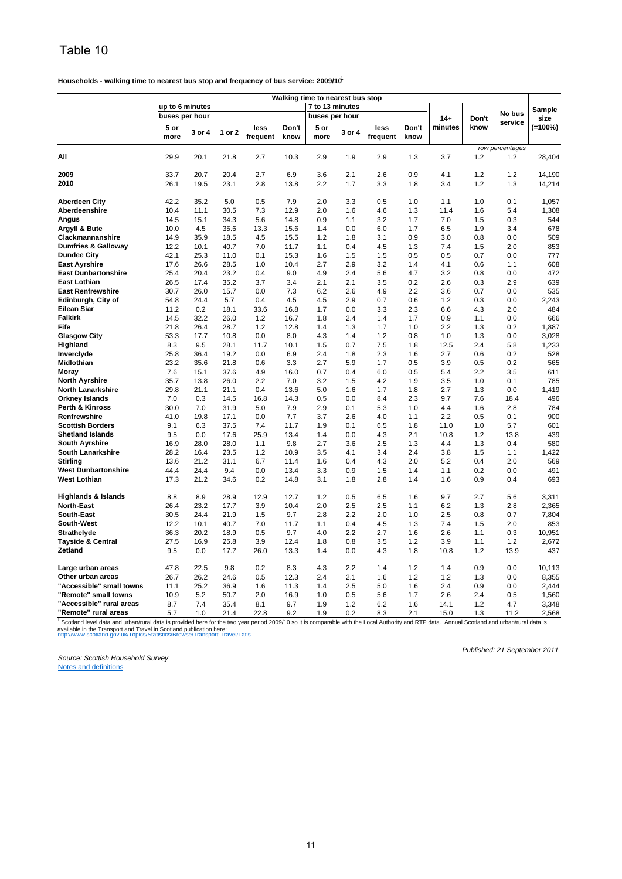**Households - walking time to nearest bus stop and frequency of bus service: 2009/101**

|                                                           | Walking time to nearest bus stop |        |               |          |                           |                 |        |                                                |       |         |       |                                         |                  |
|-----------------------------------------------------------|----------------------------------|--------|---------------|----------|---------------------------|-----------------|--------|------------------------------------------------|-------|---------|-------|-----------------------------------------|------------------|
|                                                           | up to 6 minutes                  |        |               |          |                           | 7 to 13 minutes |        |                                                |       |         |       |                                         | <b>Sample</b>    |
|                                                           | buses per hour                   |        |               |          |                           | buses per hour  |        |                                                |       | $14+$   | Don't | No bus                                  | size             |
|                                                           | 5 or                             | 3 or 4 | 1 or 2        | less     | Don't                     | 5 or            | 3 or 4 | less                                           | Don't | minutes | know  | service                                 | $(=100\%)$       |
|                                                           | more                             |        |               | frequent | know                      | more            |        | frequent                                       | know  |         |       |                                         |                  |
|                                                           |                                  |        |               |          |                           |                 |        |                                                |       |         |       | row percentages                         |                  |
| All                                                       | 29.9                             | 20.1   | 21.8          | 2.7      | 10.3                      | 2.9             | 1.9    | 2.9                                            | 1.3   | 3.7     | 1.2   | 1.2                                     | 28,404           |
| 2009                                                      | 33.7                             | 20.7   | 20.4          | 2.7      | 6.9                       |                 | 2.1    |                                                | 0.9   | 4.1     | 1.2   | 1.2                                     |                  |
| 2010                                                      | 26.1                             | 19.5   | 23.1          | 2.8      | 13.8                      | 3.6<br>2.2      | 1.7    | 2.6<br>3.3                                     | 1.8   | 3.4     | 1.2   | 1.3                                     | 14,190<br>14,214 |
|                                                           |                                  |        |               |          |                           |                 |        |                                                |       |         |       |                                         |                  |
| <b>Aberdeen City</b>                                      | 42.2                             | 35.2   | 5.0           | 0.5      | 7.9                       | 2.0             | 3.3    | 0.5                                            | 1.0   | 1.1     | 1.0   | 0.1                                     | 1,057            |
| Aberdeenshire                                             | 10.4                             | 11.1   | 30.5          | 7.3      | 12.9                      | 2.0             | 1.6    | 4.6                                            | 1.3   | 11.4    | 1.6   | 5.4                                     | 1,308            |
| Angus                                                     | 14.5                             | 15.1   | 34.3          | 5.6      | 14.8                      | 0.9             | 1.1    | 3.2                                            | 1.7   | 7.0     | 1.5   | 0.3                                     | 544              |
| Argyll & Bute                                             | 10.0                             | 4.5    | 35.6          | 13.3     | 15.6                      | 1.4             | 0.0    | 6.0                                            | 1.7   | 6.5     | 1.9   | 3.4                                     | 678              |
| Clackmannanshire                                          | 14.9                             | 35.9   | 18.5          | 4.5      | 15.5                      | 1.2             | 1.8    | 3.1                                            | 0.9   | 3.0     | 0.8   | 0.0                                     | 509              |
| <b>Dumfries &amp; Galloway</b>                            | 12.2                             | 10.1   | 40.7          | 7.0      | 11.7                      | 1.1             | 0.4    | 4.5                                            | 1.3   | 7.4     | 1.5   | 2.0                                     | 853              |
| <b>Dundee City</b>                                        | 42.1                             | 25.3   | 11.0          | 0.1      | 15.3                      | 1.6             | 1.5    | 1.5                                            | 0.5   | 0.5     | 0.7   | 0.0                                     | 777              |
| <b>East Ayrshire</b>                                      | 17.6                             | 26.6   | 28.5          | 1.0      | 10.4                      | 2.7             | 2.9    | 3.2                                            | 1.4   | 4.1     | 0.6   | 1.1                                     | 608              |
| <b>East Dunbartonshire</b>                                | 25.4                             | 20.4   | 23.2          | 0.4      | 9.0                       | 4.9             | 2.4    | 5.6                                            | 4.7   | 3.2     | 0.8   | 0.0                                     | 472              |
| East Lothian                                              | 26.5                             | 17.4   | 35.2          | 3.7      | 3.4                       | 2.1             | 2.1    | 3.5                                            | 0.2   | 2.6     | 0.3   | 2.9                                     | 639              |
| <b>East Renfrewshire</b>                                  | 30.7                             | 26.0   | 15.7          | 0.0      | 7.3                       | 6.2             | 2.6    | 4.9                                            | 2.2   | 3.6     | 0.7   | 0.0                                     | 535              |
| Edinburgh, City of                                        | 54.8                             | 24.4   | 5.7           | 0.4      | 4.5                       | 4.5             | 2.9    | 0.7                                            | 0.6   | 1.2     | 0.3   | 0.0                                     | 2,243            |
| Eilean Siar                                               | 11.2                             | 0.2    | 18.1          | 33.6     | 16.8                      | 1.7             | 0.0    | 3.3                                            | 2.3   | 6.6     | 4.3   | 2.0                                     | 484              |
| <b>Falkirk</b>                                            | 14.5                             | 32.2   | 26.0          | 1.2      | 16.7                      | 1.8             | 2.4    | 1.4                                            | 1.7   | 0.9     | 1.1   | 0.0                                     | 666              |
| Fife                                                      | 21.8                             | 26.4   | 28.7          | 1.2      | 12.8                      | 1.4             | 1.3    | 1.7                                            | 1.0   | 2.2     | 1.3   | 0.2                                     | 1,887            |
| <b>Glasgow City</b>                                       | 53.3                             | 17.7   | 10.8          | 0.0      | 8.0                       | 4.3             | 1.4    | 1.2                                            | 0.8   | 1.0     | 1.3   | 0.0                                     | 3,028            |
| Highland                                                  | 8.3                              | 9.5    | 28.1          | 11.7     | 10.1                      | 1.5             | 0.7    | 7.5                                            | 1.8   | 12.5    | 2.4   | 5.8                                     | 1,233            |
| Inverclyde                                                | 25.8                             | 36.4   | 19.2          | 0.0      | 6.9                       | 2.4             | 1.8    | 2.3                                            | 1.6   | 2.7     | 0.6   | 0.2                                     | 528              |
| Midlothian                                                | 23.2                             | 35.6   | 21.8          | 0.6      | 3.3                       | 2.7             | 5.9    | 1.7                                            | 0.5   | 3.9     | 0.5   | 0.2                                     | 565              |
| Moray                                                     | 7.6                              | 15.1   | 37.6          | 4.9      | 16.0                      | 0.7             | 0.4    | 6.0                                            | 0.5   | 5.4     | 2.2   | 3.5                                     | 611              |
| <b>North Ayrshire</b>                                     | 35.7                             | 13.8   | 26.0          | 2.2      | 7.0                       | 3.2             | 1.5    | 4.2                                            | 1.9   | 3.5     | 1.0   | 0.1                                     | 785              |
| <b>North Lanarkshire</b>                                  | 29.8                             | 21.1   | 21.1          | 0.4      | 13.6                      | 5.0             | 1.6    | 1.7                                            | 1.8   | 2.7     | 1.3   | 0.0                                     | 1,419            |
| <b>Orkney Islands</b>                                     | 7.0                              | 0.3    | 14.5          | 16.8     | 14.3                      | 0.5             | 0.0    | 8.4                                            | 2.3   | 9.7     | 7.6   | 18.4                                    | 496              |
| Perth & Kinross                                           | 30.0                             | 7.0    | 31.9          | 5.0      | 7.9                       | 2.9             | 0.1    | 5.3                                            | 1.0   | 4.4     | 1.6   | 2.8                                     | 784              |
| Renfrewshire                                              | 41.0                             | 19.8   | 17.1          | 0.0      | 7.7                       | 3.7             | 2.6    | 4.0                                            | 1.1   | 2.2     | 0.5   | 0.1                                     | 900              |
| <b>Scottish Borders</b>                                   | 9.1                              | 6.3    | 37.5          | 7.4      | 11.7                      | 1.9             | 0.1    | 6.5                                            | 1.8   | 11.0    | 1.0   | 5.7                                     | 601              |
| <b>Shetland Islands</b>                                   | 9.5                              | 0.0    | 17.6          | 25.9     | 13.4                      | 1.4             | 0.0    | 4.3                                            | 2.1   | 10.8    | 1.2   | 13.8                                    | 439              |
| <b>South Ayrshire</b>                                     | 16.9                             | 28.0   | 28.0          | 1.1      | 9.8                       | 2.7             | 3.6    | 2.5                                            | 1.3   | 4.4     | 1.3   | 0.4                                     | 580              |
| <b>South Lanarkshire</b>                                  | 28.2                             | 16.4   | 23.5          | 1.2      | 10.9                      | 3.5             | 4.1    | 3.4                                            | 2.4   | 3.8     | 1.5   | 1.1                                     | 1,422            |
| <b>Stirling</b>                                           | 13.6                             | 21.2   | 31.1          | 6.7      | 11.4                      | 1.6             | 0.4    | 4.3                                            | 2.0   | 5.2     | 0.4   | 2.0                                     | 569              |
| <b>West Dunbartonshire</b>                                | 44.4                             | 24.4   | 9.4           | 0.0      | 13.4                      | 3.3             | 0.9    | 1.5                                            | 1.4   | 1.1     | 0.2   | 0.0                                     | 491              |
| <b>West Lothian</b>                                       | 17.3                             | 21.2   | 34.6          | 0.2      | 14.8                      | 3.1             | 1.8    | 2.8                                            | 1.4   | 1.6     | 0.9   | 0.4                                     | 693              |
| <b>Highlands &amp; Islands</b>                            | 8.8                              | 8.9    | 28.9          | 12.9     | 12.7                      | 1.2             | 0.5    | 6.5                                            | 1.6   | 9.7     | 2.7   | 5.6                                     | 3,311            |
| <b>North-East</b>                                         | 26.4                             | 23.2   | 17.7          | 3.9      | 10.4                      | 2.0             | 2.5    | 2.5                                            | 1.1   | 6.2     | 1.3   | 2.8                                     | 2,365            |
| South-East                                                | 30.5                             | 24.4   | 21.9          | 1.5      | 9.7                       | 2.8             | 2.2    | 2.0                                            | 1.0   | 2.5     | 0.8   | 0.7                                     | 7,804            |
| <b>South-West</b>                                         | 12.2                             | 10.1   | 40.7          | 7.0      | 11.7                      | 1.1             | 0.4    | 4.5                                            | 1.3   | 7.4     | 1.5   | 2.0                                     | 853              |
| <b>Strathclyde</b>                                        | 36.3                             | 20.2   | 18.9          | 0.5      | 9.7                       | 4.0             | 2.2    | 2.7                                            | 1.6   | 2.6     | 1.1   | 0.3                                     | 10,951           |
| <b>Tayside &amp; Central</b>                              | 27.5                             | 16.9   | 25.8          | 3.9      | 12.4                      | 1.8             | 0.8    | 3.5                                            | 1.2   | 3.9     | 1.1   | 1.2                                     | 2,672            |
| Zetland                                                   | 9.5                              | 0.0    | 17.7          | 26.0     | 13.3                      | 1.4             | 0.0    | 4.3                                            | 1.8   | 10.8    | 1.2   | 13.9                                    | 437              |
|                                                           |                                  |        |               |          |                           |                 |        |                                                |       |         |       |                                         |                  |
| Large urban areas                                         | 47.8                             | 22.5   | 9.8           | 0.2      | 8.3                       | 4.3             | 2.2    | 1.4                                            | 1.2   | 1.4     | 0.9   | 0.0                                     | 10,113           |
| Other urban areas                                         | 26.7                             | 26.2   | 24.6          | 0.5      | 12.3                      | 2.4             | 2.1    | 1.6                                            | 1.2   | 1.2     | 1.3   | 0.0                                     | 8,355            |
| "Accessible" small towns                                  | 11.1                             | 25.2   | 36.9          | 1.6      | 11.3                      | 1.4             | 2.5    | 5.0                                            | 1.6   | 2.4     | 0.9   | 0.0                                     | 2,444            |
| "Remote" small towns                                      | 10.9                             | 5.2    | 50.7          | 2.0      | 16.9                      | 1.0             | 0.5    | 5.6                                            | 1.7   | 2.6     | 2.4   | 0.5                                     | 1,560            |
| "Accessible" rural areas                                  | 8.7                              | 7.4    | 35.4          | 8.1      | 9.7                       | 1.9             | 1.2    | 6.2                                            | 1.6   | 14.1    | 1.2   | 4.7                                     | 3,348            |
| "Remote" rural areas                                      | 5.7                              | 1.0    | 21.4          | 22.8     | 9.2                       | 1.9             | 0.2    | 8.3                                            | 2.1   | 15.0    | 1.3   | 11.2                                    | 2,568            |
| $^1$ Scotland lovel data and urban/rural data is provided |                                  | horo   | for than this |          | $2000/10$ co it is compar |                 |        | able utile has utinodiu A loop Lodt dituralder |       |         |       | Annual Scotland and urban/rural data in |                  |

http://www.scotland.gov.uk/Topics/Statistics/Browse/Transport-Travel/Tatis <sup>1</sup> Scotland level data and urban/rural data is provided here for the two year period 2009/10 so it is comparable with the Local Authority and RTP data. Annual Scotland and urban/rural data is<br>available in the Transport an

*Source: Scottish Household Survey*

*Published: 21 September 2011*

Notes and definitions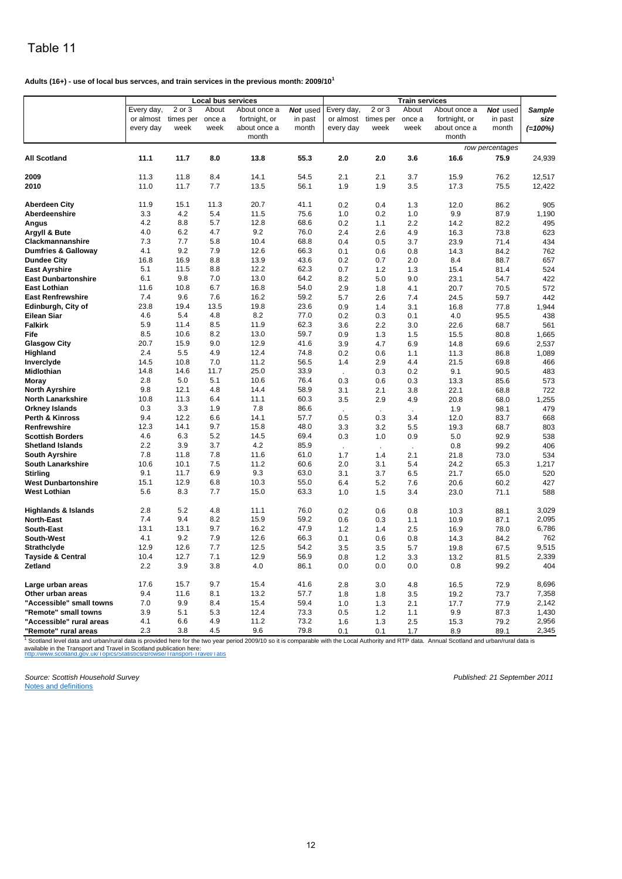#### **Adults (16+) - use of local bus servces, and train services in the previous month: 2009/10<sup>1</sup>**

| Every day,<br>2 or 3<br>2 or 3<br>About<br>About once a<br>Not used<br>Every day,<br>About<br>About once a<br>Not used<br><b>Sample</b><br>or almost<br>times per<br>or almost<br>once a<br>fortnight, or<br>times per<br>once a<br>fortnight, or<br>size<br>in past<br>in past<br>every day<br>week<br>week<br>about once a<br>month<br>every day<br>week<br>week<br>about once a<br>month<br>$(=100%)$<br>month<br>month<br>row percentages<br>11.1<br>11.7<br>8.0<br>55.3<br>2.0<br>3.6<br>75.9<br><b>All Scotland</b><br>13.8<br>2.0<br>16.6<br>24,939<br>2009<br>11.3<br>11.8<br>8.4<br>14.1<br>54.5<br>2.1<br>2.1<br>3.7<br>15.9<br>76.2<br>12,517<br>2010<br>56.1<br>3.5<br>11.0<br>11.7<br>7.7<br>13.5<br>1.9<br>1.9<br>17.3<br>75.5<br>12,422<br>20.7<br>11.9<br>15.1<br>11.3<br>41.1<br><b>Aberdeen City</b><br>0.2<br>0.4<br>1.3<br>12.0<br>86.2<br>905<br>3.3<br>4.2<br>5.4<br>75.6<br>Aberdeenshire<br>11.5<br>1.0<br>1.0<br>9.9<br>87.9<br>0.2<br>1,190<br>4.2<br>8.8<br>5.7<br>12.8<br>68.6<br>2.2<br>82.2<br>Angus<br>0.2<br>1.1<br>495<br>14.2<br>4.0<br>4.7<br>9.2<br>6.2<br>76.0<br>2.4<br>4.9<br>623<br>Argyll & Bute<br>2.6<br>16.3<br>73.8<br>7.3<br>68.8<br>7.7<br>5.8<br>10.4<br>0.4<br>3.7<br>23.9<br>71.4<br>434<br><b>Clackmannanshire</b><br>0.5<br>4.1<br>9.2<br>7.9<br>12.6<br>66.3<br><b>Dumfries &amp; Galloway</b><br>0.8<br>84.2<br>762<br>0.1<br>0.6<br>14.3<br>16.8<br>16.9<br>8.8<br>13.9<br>43.6<br>88.7<br>657<br><b>Dundee City</b><br>0.2<br>0.7<br>2.0<br>8.4<br>62.3<br><b>East Ayrshire</b><br>5.1<br>11.5<br>8.8<br>12.2<br>0.7<br>15.4<br>81.4<br>524<br>1.2<br>1.3<br>6.1<br>9.8<br>7.0<br>13.0<br>64.2<br><b>East Dunbartonshire</b><br>8.2<br>9.0<br>54.7<br>422<br>5.0<br>23.1<br>6.7<br>11.6<br>10.8<br>16.8<br>54.0<br>572<br><b>East Lothian</b><br>2.9<br>1.8<br>4.1<br>20.7<br>70.5<br>7.4<br>7.6<br><b>East Renfrewshire</b><br>9.6<br>16.2<br>59.2<br>5.7<br>7.4<br>59.7<br>442<br>2.6<br>24.5<br>23.8<br>19.8<br>23.6<br>19.4<br>13.5<br>Edinburgh, City of<br>0.9<br>1,944<br>1.4<br>3.1<br>16.8<br>77.8<br>4.6<br>4.8<br>8.2<br>77.0<br>5.4<br>0.3<br>4.0<br>95.5<br>438<br>Eilean Siar<br>0.2<br>0.1<br><b>Falkirk</b><br>5.9<br>8.5<br>11.9<br>62.3<br>11.4<br>3.6<br>2.2<br>3.0<br>68.7<br>561<br>22.6<br>59.7<br>8.5<br>10.6<br>8.2<br>13.0<br>Fife<br>0.9<br>1.3<br>1.5<br>15.5<br>80.8<br>1,665<br>20.7<br>15.9<br>9.0<br>12.9<br>41.6<br>3.9<br>6.9<br>69.6<br>2,537<br><b>Glasgow City</b><br>4.7<br>14.8<br>2.4<br>5.5<br>4.9<br>12.4<br>74.8<br>0.2<br>1.1<br>86.8<br>1,089<br>Highland<br>0.6<br>11.3<br>14.5<br>10.8<br>7.0<br>11.2<br>56.5<br>Inverclyde<br>1.4<br>2.9<br>466<br>4.4<br>21.5<br>69.8<br>14.8<br>14.6<br>11.7<br>25.0<br>33.9<br>Midlothian<br>0.3<br>0.2<br>9.1<br>90.5<br>483<br>÷.<br>2.8<br>5.0<br>5.1<br>10.6<br>76.4<br>0.3<br>573<br>Moray<br>0.6<br>0.3<br>13.3<br>85.6<br>9.8<br><b>North Ayrshire</b><br>12.1<br>4.8<br>14.4<br>58.9<br>722<br>3.1<br>2.1<br>3.8<br>22.1<br>68.8<br>10.8<br>11.3<br>6.4<br>11.1<br>60.3<br><b>North Lanarkshire</b><br>1,255<br>3.5<br>2.9<br>4.9<br>20.8<br>68.0<br>0.3<br>7.8<br>3.3<br>1.9<br>86.6<br><b>Orkney Islands</b><br>1.9<br>98.1<br>479<br>$\cdot$<br>6.6<br>57.7<br>Perth & Kinross<br>9.4<br>12.2<br>14.1<br>0.5<br>668<br>0.3<br>3.4<br>12.0<br>83.7<br>9.7<br>48.0<br>12.3<br>14.1<br>15.8<br>Renfrewshire<br>3.3<br>5.5<br>3.2<br>19.3<br>68.7<br>803<br>4.6<br>5.2<br>69.4<br>6.3<br>14.5<br>0.3<br>538<br><b>Scottish Borders</b><br>1.0<br>0.9<br>5.0<br>92.9<br>2.2<br>3.9<br>3.7<br>4.2<br>85.9<br>406<br><b>Shetland Islands</b><br>0.8<br>99.2<br>$\blacksquare$<br>7.8<br>11.8<br>7.8<br>11.6<br>61.0<br>1.7<br>1.4<br>2.1<br>534<br><b>South Ayrshire</b><br>21.8<br>73.0<br>10.6<br>10.1<br>7.5<br>11.2<br>60.6<br>2.0<br>5.4<br>1,217<br><b>South Lanarkshire</b><br>3.1<br>24.2<br>65.3<br>6.9<br>9.1<br>11.7<br>9.3<br>63.0<br>3.1<br>65.0<br>520<br>Stirling<br>3.7<br>6.5<br>21.7<br>15.1<br>12.9<br>6.8<br>10.3<br>55.0<br><b>West Dunbartonshire</b><br>20.6<br>427<br>6.4<br>5.2<br>7.6<br>60.2<br>5.6<br>8.3<br>7.7<br>15.0<br>63.3<br>3.4<br>588<br>West Lothian<br>1.0<br>1.5<br>23.0<br>71.1<br>2.8<br>5.2<br>4.8<br>76.0<br>11.1<br>3,029<br>88.1<br><b>Highlands &amp; Islands</b><br>0.2<br>0.6<br>0.8<br>10.3<br>7.4<br>8.2<br>15.9<br>59.2<br>2,095<br>9.4<br><b>North-East</b><br>0.6<br>0.3<br>1.1<br>10.9<br>87.1<br>47.9<br>6,786<br><b>South-East</b><br>13.1<br>13.1<br>9.7<br>16.2<br>1.2<br>2.5<br>1.4<br>16.9<br>78.0<br>66.3<br>762<br>4.1<br>9.2<br>7.9<br>12.6<br>South-West<br>84.2<br>0.1<br>0.6<br>0.8<br>14.3 | Local bus services |      |     |      |      | <b>Train services</b> |  |  |  |      |       |
|--------------------------------------------------------------------------------------------------------------------------------------------------------------------------------------------------------------------------------------------------------------------------------------------------------------------------------------------------------------------------------------------------------------------------------------------------------------------------------------------------------------------------------------------------------------------------------------------------------------------------------------------------------------------------------------------------------------------------------------------------------------------------------------------------------------------------------------------------------------------------------------------------------------------------------------------------------------------------------------------------------------------------------------------------------------------------------------------------------------------------------------------------------------------------------------------------------------------------------------------------------------------------------------------------------------------------------------------------------------------------------------------------------------------------------------------------------------------------------------------------------------------------------------------------------------------------------------------------------------------------------------------------------------------------------------------------------------------------------------------------------------------------------------------------------------------------------------------------------------------------------------------------------------------------------------------------------------------------------------------------------------------------------------------------------------------------------------------------------------------------------------------------------------------------------------------------------------------------------------------------------------------------------------------------------------------------------------------------------------------------------------------------------------------------------------------------------------------------------------------------------------------------------------------------------------------------------------------------------------------------------------------------------------------------------------------------------------------------------------------------------------------------------------------------------------------------------------------------------------------------------------------------------------------------------------------------------------------------------------------------------------------------------------------------------------------------------------------------------------------------------------------------------------------------------------------------------------------------------------------------------------------------------------------------------------------------------------------------------------------------------------------------------------------------------------------------------------------------------------------------------------------------------------------------------------------------------------------------------------------------------------------------------------------------------------------------------------------------------------------------------------------------------------------------------------------------------------------------------------------------------------------------------------------------------------------------------------------------------------------------------------------------------------------------------------------------------------------------------------------------------------------------------------------------------------------------------------------------------------------------------------------------------------------------------------------------------------------------------------------------------------------------------------------------------------------------------------------------------------------------------------------------------------------------------------------------------------------------------------|--------------------|------|-----|------|------|-----------------------|--|--|--|------|-------|
|                                                                                                                                                                                                                                                                                                                                                                                                                                                                                                                                                                                                                                                                                                                                                                                                                                                                                                                                                                                                                                                                                                                                                                                                                                                                                                                                                                                                                                                                                                                                                                                                                                                                                                                                                                                                                                                                                                                                                                                                                                                                                                                                                                                                                                                                                                                                                                                                                                                                                                                                                                                                                                                                                                                                                                                                                                                                                                                                                                                                                                                                                                                                                                                                                                                                                                                                                                                                                                                                                                                                                                                                                                                                                                                                                                                                                                                                                                                                                                                                                                                                                                                                                                                                                                                                                                                                                                                                                                                                                                                                                                                                              |                    |      |     |      |      |                       |  |  |  |      |       |
|                                                                                                                                                                                                                                                                                                                                                                                                                                                                                                                                                                                                                                                                                                                                                                                                                                                                                                                                                                                                                                                                                                                                                                                                                                                                                                                                                                                                                                                                                                                                                                                                                                                                                                                                                                                                                                                                                                                                                                                                                                                                                                                                                                                                                                                                                                                                                                                                                                                                                                                                                                                                                                                                                                                                                                                                                                                                                                                                                                                                                                                                                                                                                                                                                                                                                                                                                                                                                                                                                                                                                                                                                                                                                                                                                                                                                                                                                                                                                                                                                                                                                                                                                                                                                                                                                                                                                                                                                                                                                                                                                                                                              |                    |      |     |      |      |                       |  |  |  |      |       |
|                                                                                                                                                                                                                                                                                                                                                                                                                                                                                                                                                                                                                                                                                                                                                                                                                                                                                                                                                                                                                                                                                                                                                                                                                                                                                                                                                                                                                                                                                                                                                                                                                                                                                                                                                                                                                                                                                                                                                                                                                                                                                                                                                                                                                                                                                                                                                                                                                                                                                                                                                                                                                                                                                                                                                                                                                                                                                                                                                                                                                                                                                                                                                                                                                                                                                                                                                                                                                                                                                                                                                                                                                                                                                                                                                                                                                                                                                                                                                                                                                                                                                                                                                                                                                                                                                                                                                                                                                                                                                                                                                                                                              |                    |      |     |      |      |                       |  |  |  |      |       |
|                                                                                                                                                                                                                                                                                                                                                                                                                                                                                                                                                                                                                                                                                                                                                                                                                                                                                                                                                                                                                                                                                                                                                                                                                                                                                                                                                                                                                                                                                                                                                                                                                                                                                                                                                                                                                                                                                                                                                                                                                                                                                                                                                                                                                                                                                                                                                                                                                                                                                                                                                                                                                                                                                                                                                                                                                                                                                                                                                                                                                                                                                                                                                                                                                                                                                                                                                                                                                                                                                                                                                                                                                                                                                                                                                                                                                                                                                                                                                                                                                                                                                                                                                                                                                                                                                                                                                                                                                                                                                                                                                                                                              |                    |      |     |      |      |                       |  |  |  |      |       |
|                                                                                                                                                                                                                                                                                                                                                                                                                                                                                                                                                                                                                                                                                                                                                                                                                                                                                                                                                                                                                                                                                                                                                                                                                                                                                                                                                                                                                                                                                                                                                                                                                                                                                                                                                                                                                                                                                                                                                                                                                                                                                                                                                                                                                                                                                                                                                                                                                                                                                                                                                                                                                                                                                                                                                                                                                                                                                                                                                                                                                                                                                                                                                                                                                                                                                                                                                                                                                                                                                                                                                                                                                                                                                                                                                                                                                                                                                                                                                                                                                                                                                                                                                                                                                                                                                                                                                                                                                                                                                                                                                                                                              |                    |      |     |      |      |                       |  |  |  |      |       |
|                                                                                                                                                                                                                                                                                                                                                                                                                                                                                                                                                                                                                                                                                                                                                                                                                                                                                                                                                                                                                                                                                                                                                                                                                                                                                                                                                                                                                                                                                                                                                                                                                                                                                                                                                                                                                                                                                                                                                                                                                                                                                                                                                                                                                                                                                                                                                                                                                                                                                                                                                                                                                                                                                                                                                                                                                                                                                                                                                                                                                                                                                                                                                                                                                                                                                                                                                                                                                                                                                                                                                                                                                                                                                                                                                                                                                                                                                                                                                                                                                                                                                                                                                                                                                                                                                                                                                                                                                                                                                                                                                                                                              |                    |      |     |      |      |                       |  |  |  |      |       |
|                                                                                                                                                                                                                                                                                                                                                                                                                                                                                                                                                                                                                                                                                                                                                                                                                                                                                                                                                                                                                                                                                                                                                                                                                                                                                                                                                                                                                                                                                                                                                                                                                                                                                                                                                                                                                                                                                                                                                                                                                                                                                                                                                                                                                                                                                                                                                                                                                                                                                                                                                                                                                                                                                                                                                                                                                                                                                                                                                                                                                                                                                                                                                                                                                                                                                                                                                                                                                                                                                                                                                                                                                                                                                                                                                                                                                                                                                                                                                                                                                                                                                                                                                                                                                                                                                                                                                                                                                                                                                                                                                                                                              |                    |      |     |      |      |                       |  |  |  |      |       |
|                                                                                                                                                                                                                                                                                                                                                                                                                                                                                                                                                                                                                                                                                                                                                                                                                                                                                                                                                                                                                                                                                                                                                                                                                                                                                                                                                                                                                                                                                                                                                                                                                                                                                                                                                                                                                                                                                                                                                                                                                                                                                                                                                                                                                                                                                                                                                                                                                                                                                                                                                                                                                                                                                                                                                                                                                                                                                                                                                                                                                                                                                                                                                                                                                                                                                                                                                                                                                                                                                                                                                                                                                                                                                                                                                                                                                                                                                                                                                                                                                                                                                                                                                                                                                                                                                                                                                                                                                                                                                                                                                                                                              |                    |      |     |      |      |                       |  |  |  |      |       |
|                                                                                                                                                                                                                                                                                                                                                                                                                                                                                                                                                                                                                                                                                                                                                                                                                                                                                                                                                                                                                                                                                                                                                                                                                                                                                                                                                                                                                                                                                                                                                                                                                                                                                                                                                                                                                                                                                                                                                                                                                                                                                                                                                                                                                                                                                                                                                                                                                                                                                                                                                                                                                                                                                                                                                                                                                                                                                                                                                                                                                                                                                                                                                                                                                                                                                                                                                                                                                                                                                                                                                                                                                                                                                                                                                                                                                                                                                                                                                                                                                                                                                                                                                                                                                                                                                                                                                                                                                                                                                                                                                                                                              |                    |      |     |      |      |                       |  |  |  |      |       |
|                                                                                                                                                                                                                                                                                                                                                                                                                                                                                                                                                                                                                                                                                                                                                                                                                                                                                                                                                                                                                                                                                                                                                                                                                                                                                                                                                                                                                                                                                                                                                                                                                                                                                                                                                                                                                                                                                                                                                                                                                                                                                                                                                                                                                                                                                                                                                                                                                                                                                                                                                                                                                                                                                                                                                                                                                                                                                                                                                                                                                                                                                                                                                                                                                                                                                                                                                                                                                                                                                                                                                                                                                                                                                                                                                                                                                                                                                                                                                                                                                                                                                                                                                                                                                                                                                                                                                                                                                                                                                                                                                                                                              |                    |      |     |      |      |                       |  |  |  |      |       |
|                                                                                                                                                                                                                                                                                                                                                                                                                                                                                                                                                                                                                                                                                                                                                                                                                                                                                                                                                                                                                                                                                                                                                                                                                                                                                                                                                                                                                                                                                                                                                                                                                                                                                                                                                                                                                                                                                                                                                                                                                                                                                                                                                                                                                                                                                                                                                                                                                                                                                                                                                                                                                                                                                                                                                                                                                                                                                                                                                                                                                                                                                                                                                                                                                                                                                                                                                                                                                                                                                                                                                                                                                                                                                                                                                                                                                                                                                                                                                                                                                                                                                                                                                                                                                                                                                                                                                                                                                                                                                                                                                                                                              |                    |      |     |      |      |                       |  |  |  |      |       |
|                                                                                                                                                                                                                                                                                                                                                                                                                                                                                                                                                                                                                                                                                                                                                                                                                                                                                                                                                                                                                                                                                                                                                                                                                                                                                                                                                                                                                                                                                                                                                                                                                                                                                                                                                                                                                                                                                                                                                                                                                                                                                                                                                                                                                                                                                                                                                                                                                                                                                                                                                                                                                                                                                                                                                                                                                                                                                                                                                                                                                                                                                                                                                                                                                                                                                                                                                                                                                                                                                                                                                                                                                                                                                                                                                                                                                                                                                                                                                                                                                                                                                                                                                                                                                                                                                                                                                                                                                                                                                                                                                                                                              |                    |      |     |      |      |                       |  |  |  |      |       |
|                                                                                                                                                                                                                                                                                                                                                                                                                                                                                                                                                                                                                                                                                                                                                                                                                                                                                                                                                                                                                                                                                                                                                                                                                                                                                                                                                                                                                                                                                                                                                                                                                                                                                                                                                                                                                                                                                                                                                                                                                                                                                                                                                                                                                                                                                                                                                                                                                                                                                                                                                                                                                                                                                                                                                                                                                                                                                                                                                                                                                                                                                                                                                                                                                                                                                                                                                                                                                                                                                                                                                                                                                                                                                                                                                                                                                                                                                                                                                                                                                                                                                                                                                                                                                                                                                                                                                                                                                                                                                                                                                                                                              |                    |      |     |      |      |                       |  |  |  |      |       |
|                                                                                                                                                                                                                                                                                                                                                                                                                                                                                                                                                                                                                                                                                                                                                                                                                                                                                                                                                                                                                                                                                                                                                                                                                                                                                                                                                                                                                                                                                                                                                                                                                                                                                                                                                                                                                                                                                                                                                                                                                                                                                                                                                                                                                                                                                                                                                                                                                                                                                                                                                                                                                                                                                                                                                                                                                                                                                                                                                                                                                                                                                                                                                                                                                                                                                                                                                                                                                                                                                                                                                                                                                                                                                                                                                                                                                                                                                                                                                                                                                                                                                                                                                                                                                                                                                                                                                                                                                                                                                                                                                                                                              |                    |      |     |      |      |                       |  |  |  |      |       |
|                                                                                                                                                                                                                                                                                                                                                                                                                                                                                                                                                                                                                                                                                                                                                                                                                                                                                                                                                                                                                                                                                                                                                                                                                                                                                                                                                                                                                                                                                                                                                                                                                                                                                                                                                                                                                                                                                                                                                                                                                                                                                                                                                                                                                                                                                                                                                                                                                                                                                                                                                                                                                                                                                                                                                                                                                                                                                                                                                                                                                                                                                                                                                                                                                                                                                                                                                                                                                                                                                                                                                                                                                                                                                                                                                                                                                                                                                                                                                                                                                                                                                                                                                                                                                                                                                                                                                                                                                                                                                                                                                                                                              |                    |      |     |      |      |                       |  |  |  |      |       |
|                                                                                                                                                                                                                                                                                                                                                                                                                                                                                                                                                                                                                                                                                                                                                                                                                                                                                                                                                                                                                                                                                                                                                                                                                                                                                                                                                                                                                                                                                                                                                                                                                                                                                                                                                                                                                                                                                                                                                                                                                                                                                                                                                                                                                                                                                                                                                                                                                                                                                                                                                                                                                                                                                                                                                                                                                                                                                                                                                                                                                                                                                                                                                                                                                                                                                                                                                                                                                                                                                                                                                                                                                                                                                                                                                                                                                                                                                                                                                                                                                                                                                                                                                                                                                                                                                                                                                                                                                                                                                                                                                                                                              |                    |      |     |      |      |                       |  |  |  |      |       |
|                                                                                                                                                                                                                                                                                                                                                                                                                                                                                                                                                                                                                                                                                                                                                                                                                                                                                                                                                                                                                                                                                                                                                                                                                                                                                                                                                                                                                                                                                                                                                                                                                                                                                                                                                                                                                                                                                                                                                                                                                                                                                                                                                                                                                                                                                                                                                                                                                                                                                                                                                                                                                                                                                                                                                                                                                                                                                                                                                                                                                                                                                                                                                                                                                                                                                                                                                                                                                                                                                                                                                                                                                                                                                                                                                                                                                                                                                                                                                                                                                                                                                                                                                                                                                                                                                                                                                                                                                                                                                                                                                                                                              |                    |      |     |      |      |                       |  |  |  |      |       |
|                                                                                                                                                                                                                                                                                                                                                                                                                                                                                                                                                                                                                                                                                                                                                                                                                                                                                                                                                                                                                                                                                                                                                                                                                                                                                                                                                                                                                                                                                                                                                                                                                                                                                                                                                                                                                                                                                                                                                                                                                                                                                                                                                                                                                                                                                                                                                                                                                                                                                                                                                                                                                                                                                                                                                                                                                                                                                                                                                                                                                                                                                                                                                                                                                                                                                                                                                                                                                                                                                                                                                                                                                                                                                                                                                                                                                                                                                                                                                                                                                                                                                                                                                                                                                                                                                                                                                                                                                                                                                                                                                                                                              |                    |      |     |      |      |                       |  |  |  |      |       |
|                                                                                                                                                                                                                                                                                                                                                                                                                                                                                                                                                                                                                                                                                                                                                                                                                                                                                                                                                                                                                                                                                                                                                                                                                                                                                                                                                                                                                                                                                                                                                                                                                                                                                                                                                                                                                                                                                                                                                                                                                                                                                                                                                                                                                                                                                                                                                                                                                                                                                                                                                                                                                                                                                                                                                                                                                                                                                                                                                                                                                                                                                                                                                                                                                                                                                                                                                                                                                                                                                                                                                                                                                                                                                                                                                                                                                                                                                                                                                                                                                                                                                                                                                                                                                                                                                                                                                                                                                                                                                                                                                                                                              |                    |      |     |      |      |                       |  |  |  |      |       |
|                                                                                                                                                                                                                                                                                                                                                                                                                                                                                                                                                                                                                                                                                                                                                                                                                                                                                                                                                                                                                                                                                                                                                                                                                                                                                                                                                                                                                                                                                                                                                                                                                                                                                                                                                                                                                                                                                                                                                                                                                                                                                                                                                                                                                                                                                                                                                                                                                                                                                                                                                                                                                                                                                                                                                                                                                                                                                                                                                                                                                                                                                                                                                                                                                                                                                                                                                                                                                                                                                                                                                                                                                                                                                                                                                                                                                                                                                                                                                                                                                                                                                                                                                                                                                                                                                                                                                                                                                                                                                                                                                                                                              |                    |      |     |      |      |                       |  |  |  |      |       |
|                                                                                                                                                                                                                                                                                                                                                                                                                                                                                                                                                                                                                                                                                                                                                                                                                                                                                                                                                                                                                                                                                                                                                                                                                                                                                                                                                                                                                                                                                                                                                                                                                                                                                                                                                                                                                                                                                                                                                                                                                                                                                                                                                                                                                                                                                                                                                                                                                                                                                                                                                                                                                                                                                                                                                                                                                                                                                                                                                                                                                                                                                                                                                                                                                                                                                                                                                                                                                                                                                                                                                                                                                                                                                                                                                                                                                                                                                                                                                                                                                                                                                                                                                                                                                                                                                                                                                                                                                                                                                                                                                                                                              |                    |      |     |      |      |                       |  |  |  |      |       |
|                                                                                                                                                                                                                                                                                                                                                                                                                                                                                                                                                                                                                                                                                                                                                                                                                                                                                                                                                                                                                                                                                                                                                                                                                                                                                                                                                                                                                                                                                                                                                                                                                                                                                                                                                                                                                                                                                                                                                                                                                                                                                                                                                                                                                                                                                                                                                                                                                                                                                                                                                                                                                                                                                                                                                                                                                                                                                                                                                                                                                                                                                                                                                                                                                                                                                                                                                                                                                                                                                                                                                                                                                                                                                                                                                                                                                                                                                                                                                                                                                                                                                                                                                                                                                                                                                                                                                                                                                                                                                                                                                                                                              |                    |      |     |      |      |                       |  |  |  |      |       |
|                                                                                                                                                                                                                                                                                                                                                                                                                                                                                                                                                                                                                                                                                                                                                                                                                                                                                                                                                                                                                                                                                                                                                                                                                                                                                                                                                                                                                                                                                                                                                                                                                                                                                                                                                                                                                                                                                                                                                                                                                                                                                                                                                                                                                                                                                                                                                                                                                                                                                                                                                                                                                                                                                                                                                                                                                                                                                                                                                                                                                                                                                                                                                                                                                                                                                                                                                                                                                                                                                                                                                                                                                                                                                                                                                                                                                                                                                                                                                                                                                                                                                                                                                                                                                                                                                                                                                                                                                                                                                                                                                                                                              |                    |      |     |      |      |                       |  |  |  |      |       |
|                                                                                                                                                                                                                                                                                                                                                                                                                                                                                                                                                                                                                                                                                                                                                                                                                                                                                                                                                                                                                                                                                                                                                                                                                                                                                                                                                                                                                                                                                                                                                                                                                                                                                                                                                                                                                                                                                                                                                                                                                                                                                                                                                                                                                                                                                                                                                                                                                                                                                                                                                                                                                                                                                                                                                                                                                                                                                                                                                                                                                                                                                                                                                                                                                                                                                                                                                                                                                                                                                                                                                                                                                                                                                                                                                                                                                                                                                                                                                                                                                                                                                                                                                                                                                                                                                                                                                                                                                                                                                                                                                                                                              |                    |      |     |      |      |                       |  |  |  |      |       |
|                                                                                                                                                                                                                                                                                                                                                                                                                                                                                                                                                                                                                                                                                                                                                                                                                                                                                                                                                                                                                                                                                                                                                                                                                                                                                                                                                                                                                                                                                                                                                                                                                                                                                                                                                                                                                                                                                                                                                                                                                                                                                                                                                                                                                                                                                                                                                                                                                                                                                                                                                                                                                                                                                                                                                                                                                                                                                                                                                                                                                                                                                                                                                                                                                                                                                                                                                                                                                                                                                                                                                                                                                                                                                                                                                                                                                                                                                                                                                                                                                                                                                                                                                                                                                                                                                                                                                                                                                                                                                                                                                                                                              |                    |      |     |      |      |                       |  |  |  |      |       |
|                                                                                                                                                                                                                                                                                                                                                                                                                                                                                                                                                                                                                                                                                                                                                                                                                                                                                                                                                                                                                                                                                                                                                                                                                                                                                                                                                                                                                                                                                                                                                                                                                                                                                                                                                                                                                                                                                                                                                                                                                                                                                                                                                                                                                                                                                                                                                                                                                                                                                                                                                                                                                                                                                                                                                                                                                                                                                                                                                                                                                                                                                                                                                                                                                                                                                                                                                                                                                                                                                                                                                                                                                                                                                                                                                                                                                                                                                                                                                                                                                                                                                                                                                                                                                                                                                                                                                                                                                                                                                                                                                                                                              |                    |      |     |      |      |                       |  |  |  |      |       |
|                                                                                                                                                                                                                                                                                                                                                                                                                                                                                                                                                                                                                                                                                                                                                                                                                                                                                                                                                                                                                                                                                                                                                                                                                                                                                                                                                                                                                                                                                                                                                                                                                                                                                                                                                                                                                                                                                                                                                                                                                                                                                                                                                                                                                                                                                                                                                                                                                                                                                                                                                                                                                                                                                                                                                                                                                                                                                                                                                                                                                                                                                                                                                                                                                                                                                                                                                                                                                                                                                                                                                                                                                                                                                                                                                                                                                                                                                                                                                                                                                                                                                                                                                                                                                                                                                                                                                                                                                                                                                                                                                                                                              |                    |      |     |      |      |                       |  |  |  |      |       |
|                                                                                                                                                                                                                                                                                                                                                                                                                                                                                                                                                                                                                                                                                                                                                                                                                                                                                                                                                                                                                                                                                                                                                                                                                                                                                                                                                                                                                                                                                                                                                                                                                                                                                                                                                                                                                                                                                                                                                                                                                                                                                                                                                                                                                                                                                                                                                                                                                                                                                                                                                                                                                                                                                                                                                                                                                                                                                                                                                                                                                                                                                                                                                                                                                                                                                                                                                                                                                                                                                                                                                                                                                                                                                                                                                                                                                                                                                                                                                                                                                                                                                                                                                                                                                                                                                                                                                                                                                                                                                                                                                                                                              |                    |      |     |      |      |                       |  |  |  |      |       |
|                                                                                                                                                                                                                                                                                                                                                                                                                                                                                                                                                                                                                                                                                                                                                                                                                                                                                                                                                                                                                                                                                                                                                                                                                                                                                                                                                                                                                                                                                                                                                                                                                                                                                                                                                                                                                                                                                                                                                                                                                                                                                                                                                                                                                                                                                                                                                                                                                                                                                                                                                                                                                                                                                                                                                                                                                                                                                                                                                                                                                                                                                                                                                                                                                                                                                                                                                                                                                                                                                                                                                                                                                                                                                                                                                                                                                                                                                                                                                                                                                                                                                                                                                                                                                                                                                                                                                                                                                                                                                                                                                                                                              |                    |      |     |      |      |                       |  |  |  |      |       |
|                                                                                                                                                                                                                                                                                                                                                                                                                                                                                                                                                                                                                                                                                                                                                                                                                                                                                                                                                                                                                                                                                                                                                                                                                                                                                                                                                                                                                                                                                                                                                                                                                                                                                                                                                                                                                                                                                                                                                                                                                                                                                                                                                                                                                                                                                                                                                                                                                                                                                                                                                                                                                                                                                                                                                                                                                                                                                                                                                                                                                                                                                                                                                                                                                                                                                                                                                                                                                                                                                                                                                                                                                                                                                                                                                                                                                                                                                                                                                                                                                                                                                                                                                                                                                                                                                                                                                                                                                                                                                                                                                                                                              |                    |      |     |      |      |                       |  |  |  |      |       |
|                                                                                                                                                                                                                                                                                                                                                                                                                                                                                                                                                                                                                                                                                                                                                                                                                                                                                                                                                                                                                                                                                                                                                                                                                                                                                                                                                                                                                                                                                                                                                                                                                                                                                                                                                                                                                                                                                                                                                                                                                                                                                                                                                                                                                                                                                                                                                                                                                                                                                                                                                                                                                                                                                                                                                                                                                                                                                                                                                                                                                                                                                                                                                                                                                                                                                                                                                                                                                                                                                                                                                                                                                                                                                                                                                                                                                                                                                                                                                                                                                                                                                                                                                                                                                                                                                                                                                                                                                                                                                                                                                                                                              |                    |      |     |      |      |                       |  |  |  |      |       |
|                                                                                                                                                                                                                                                                                                                                                                                                                                                                                                                                                                                                                                                                                                                                                                                                                                                                                                                                                                                                                                                                                                                                                                                                                                                                                                                                                                                                                                                                                                                                                                                                                                                                                                                                                                                                                                                                                                                                                                                                                                                                                                                                                                                                                                                                                                                                                                                                                                                                                                                                                                                                                                                                                                                                                                                                                                                                                                                                                                                                                                                                                                                                                                                                                                                                                                                                                                                                                                                                                                                                                                                                                                                                                                                                                                                                                                                                                                                                                                                                                                                                                                                                                                                                                                                                                                                                                                                                                                                                                                                                                                                                              |                    |      |     |      |      |                       |  |  |  |      |       |
|                                                                                                                                                                                                                                                                                                                                                                                                                                                                                                                                                                                                                                                                                                                                                                                                                                                                                                                                                                                                                                                                                                                                                                                                                                                                                                                                                                                                                                                                                                                                                                                                                                                                                                                                                                                                                                                                                                                                                                                                                                                                                                                                                                                                                                                                                                                                                                                                                                                                                                                                                                                                                                                                                                                                                                                                                                                                                                                                                                                                                                                                                                                                                                                                                                                                                                                                                                                                                                                                                                                                                                                                                                                                                                                                                                                                                                                                                                                                                                                                                                                                                                                                                                                                                                                                                                                                                                                                                                                                                                                                                                                                              |                    |      |     |      |      |                       |  |  |  |      |       |
|                                                                                                                                                                                                                                                                                                                                                                                                                                                                                                                                                                                                                                                                                                                                                                                                                                                                                                                                                                                                                                                                                                                                                                                                                                                                                                                                                                                                                                                                                                                                                                                                                                                                                                                                                                                                                                                                                                                                                                                                                                                                                                                                                                                                                                                                                                                                                                                                                                                                                                                                                                                                                                                                                                                                                                                                                                                                                                                                                                                                                                                                                                                                                                                                                                                                                                                                                                                                                                                                                                                                                                                                                                                                                                                                                                                                                                                                                                                                                                                                                                                                                                                                                                                                                                                                                                                                                                                                                                                                                                                                                                                                              |                    |      |     |      |      |                       |  |  |  |      |       |
|                                                                                                                                                                                                                                                                                                                                                                                                                                                                                                                                                                                                                                                                                                                                                                                                                                                                                                                                                                                                                                                                                                                                                                                                                                                                                                                                                                                                                                                                                                                                                                                                                                                                                                                                                                                                                                                                                                                                                                                                                                                                                                                                                                                                                                                                                                                                                                                                                                                                                                                                                                                                                                                                                                                                                                                                                                                                                                                                                                                                                                                                                                                                                                                                                                                                                                                                                                                                                                                                                                                                                                                                                                                                                                                                                                                                                                                                                                                                                                                                                                                                                                                                                                                                                                                                                                                                                                                                                                                                                                                                                                                                              |                    |      |     |      |      |                       |  |  |  |      |       |
|                                                                                                                                                                                                                                                                                                                                                                                                                                                                                                                                                                                                                                                                                                                                                                                                                                                                                                                                                                                                                                                                                                                                                                                                                                                                                                                                                                                                                                                                                                                                                                                                                                                                                                                                                                                                                                                                                                                                                                                                                                                                                                                                                                                                                                                                                                                                                                                                                                                                                                                                                                                                                                                                                                                                                                                                                                                                                                                                                                                                                                                                                                                                                                                                                                                                                                                                                                                                                                                                                                                                                                                                                                                                                                                                                                                                                                                                                                                                                                                                                                                                                                                                                                                                                                                                                                                                                                                                                                                                                                                                                                                                              |                    |      |     |      |      |                       |  |  |  |      |       |
|                                                                                                                                                                                                                                                                                                                                                                                                                                                                                                                                                                                                                                                                                                                                                                                                                                                                                                                                                                                                                                                                                                                                                                                                                                                                                                                                                                                                                                                                                                                                                                                                                                                                                                                                                                                                                                                                                                                                                                                                                                                                                                                                                                                                                                                                                                                                                                                                                                                                                                                                                                                                                                                                                                                                                                                                                                                                                                                                                                                                                                                                                                                                                                                                                                                                                                                                                                                                                                                                                                                                                                                                                                                                                                                                                                                                                                                                                                                                                                                                                                                                                                                                                                                                                                                                                                                                                                                                                                                                                                                                                                                                              |                    |      |     |      |      |                       |  |  |  |      |       |
|                                                                                                                                                                                                                                                                                                                                                                                                                                                                                                                                                                                                                                                                                                                                                                                                                                                                                                                                                                                                                                                                                                                                                                                                                                                                                                                                                                                                                                                                                                                                                                                                                                                                                                                                                                                                                                                                                                                                                                                                                                                                                                                                                                                                                                                                                                                                                                                                                                                                                                                                                                                                                                                                                                                                                                                                                                                                                                                                                                                                                                                                                                                                                                                                                                                                                                                                                                                                                                                                                                                                                                                                                                                                                                                                                                                                                                                                                                                                                                                                                                                                                                                                                                                                                                                                                                                                                                                                                                                                                                                                                                                                              |                    |      |     |      |      |                       |  |  |  |      |       |
|                                                                                                                                                                                                                                                                                                                                                                                                                                                                                                                                                                                                                                                                                                                                                                                                                                                                                                                                                                                                                                                                                                                                                                                                                                                                                                                                                                                                                                                                                                                                                                                                                                                                                                                                                                                                                                                                                                                                                                                                                                                                                                                                                                                                                                                                                                                                                                                                                                                                                                                                                                                                                                                                                                                                                                                                                                                                                                                                                                                                                                                                                                                                                                                                                                                                                                                                                                                                                                                                                                                                                                                                                                                                                                                                                                                                                                                                                                                                                                                                                                                                                                                                                                                                                                                                                                                                                                                                                                                                                                                                                                                                              |                    |      |     |      |      |                       |  |  |  |      |       |
|                                                                                                                                                                                                                                                                                                                                                                                                                                                                                                                                                                                                                                                                                                                                                                                                                                                                                                                                                                                                                                                                                                                                                                                                                                                                                                                                                                                                                                                                                                                                                                                                                                                                                                                                                                                                                                                                                                                                                                                                                                                                                                                                                                                                                                                                                                                                                                                                                                                                                                                                                                                                                                                                                                                                                                                                                                                                                                                                                                                                                                                                                                                                                                                                                                                                                                                                                                                                                                                                                                                                                                                                                                                                                                                                                                                                                                                                                                                                                                                                                                                                                                                                                                                                                                                                                                                                                                                                                                                                                                                                                                                                              |                    |      |     |      |      |                       |  |  |  |      |       |
|                                                                                                                                                                                                                                                                                                                                                                                                                                                                                                                                                                                                                                                                                                                                                                                                                                                                                                                                                                                                                                                                                                                                                                                                                                                                                                                                                                                                                                                                                                                                                                                                                                                                                                                                                                                                                                                                                                                                                                                                                                                                                                                                                                                                                                                                                                                                                                                                                                                                                                                                                                                                                                                                                                                                                                                                                                                                                                                                                                                                                                                                                                                                                                                                                                                                                                                                                                                                                                                                                                                                                                                                                                                                                                                                                                                                                                                                                                                                                                                                                                                                                                                                                                                                                                                                                                                                                                                                                                                                                                                                                                                                              |                    |      |     |      |      |                       |  |  |  |      |       |
|                                                                                                                                                                                                                                                                                                                                                                                                                                                                                                                                                                                                                                                                                                                                                                                                                                                                                                                                                                                                                                                                                                                                                                                                                                                                                                                                                                                                                                                                                                                                                                                                                                                                                                                                                                                                                                                                                                                                                                                                                                                                                                                                                                                                                                                                                                                                                                                                                                                                                                                                                                                                                                                                                                                                                                                                                                                                                                                                                                                                                                                                                                                                                                                                                                                                                                                                                                                                                                                                                                                                                                                                                                                                                                                                                                                                                                                                                                                                                                                                                                                                                                                                                                                                                                                                                                                                                                                                                                                                                                                                                                                                              |                    |      |     |      |      |                       |  |  |  |      |       |
| Strathclyde<br>3.5<br>5.7<br>19.8                                                                                                                                                                                                                                                                                                                                                                                                                                                                                                                                                                                                                                                                                                                                                                                                                                                                                                                                                                                                                                                                                                                                                                                                                                                                                                                                                                                                                                                                                                                                                                                                                                                                                                                                                                                                                                                                                                                                                                                                                                                                                                                                                                                                                                                                                                                                                                                                                                                                                                                                                                                                                                                                                                                                                                                                                                                                                                                                                                                                                                                                                                                                                                                                                                                                                                                                                                                                                                                                                                                                                                                                                                                                                                                                                                                                                                                                                                                                                                                                                                                                                                                                                                                                                                                                                                                                                                                                                                                                                                                                                                            | 12.9               | 12.6 | 7.7 | 12.5 | 54.2 | 3.5                   |  |  |  | 67.5 | 9,515 |
| 12.9<br>2,339<br><b>Tayside &amp; Central</b><br>10.4<br>12.7<br>7.1<br>56.9<br>0.8<br>$1.2$<br>3.3<br>81.5<br>13.2                                                                                                                                                                                                                                                                                                                                                                                                                                                                                                                                                                                                                                                                                                                                                                                                                                                                                                                                                                                                                                                                                                                                                                                                                                                                                                                                                                                                                                                                                                                                                                                                                                                                                                                                                                                                                                                                                                                                                                                                                                                                                                                                                                                                                                                                                                                                                                                                                                                                                                                                                                                                                                                                                                                                                                                                                                                                                                                                                                                                                                                                                                                                                                                                                                                                                                                                                                                                                                                                                                                                                                                                                                                                                                                                                                                                                                                                                                                                                                                                                                                                                                                                                                                                                                                                                                                                                                                                                                                                                          |                    |      |     |      |      |                       |  |  |  |      |       |
| 2.2<br>3.9<br>3.8<br>4.0<br>86.1<br>404<br>Zetland<br>0.0<br>0.0<br>0.0<br>0.8<br>99.2                                                                                                                                                                                                                                                                                                                                                                                                                                                                                                                                                                                                                                                                                                                                                                                                                                                                                                                                                                                                                                                                                                                                                                                                                                                                                                                                                                                                                                                                                                                                                                                                                                                                                                                                                                                                                                                                                                                                                                                                                                                                                                                                                                                                                                                                                                                                                                                                                                                                                                                                                                                                                                                                                                                                                                                                                                                                                                                                                                                                                                                                                                                                                                                                                                                                                                                                                                                                                                                                                                                                                                                                                                                                                                                                                                                                                                                                                                                                                                                                                                                                                                                                                                                                                                                                                                                                                                                                                                                                                                                       |                    |      |     |      |      |                       |  |  |  |      |       |
|                                                                                                                                                                                                                                                                                                                                                                                                                                                                                                                                                                                                                                                                                                                                                                                                                                                                                                                                                                                                                                                                                                                                                                                                                                                                                                                                                                                                                                                                                                                                                                                                                                                                                                                                                                                                                                                                                                                                                                                                                                                                                                                                                                                                                                                                                                                                                                                                                                                                                                                                                                                                                                                                                                                                                                                                                                                                                                                                                                                                                                                                                                                                                                                                                                                                                                                                                                                                                                                                                                                                                                                                                                                                                                                                                                                                                                                                                                                                                                                                                                                                                                                                                                                                                                                                                                                                                                                                                                                                                                                                                                                                              |                    |      |     |      |      |                       |  |  |  |      |       |
| 41.6<br>Large urban areas<br>17.6<br>15.7<br>9.7<br>15.4<br>2.8<br>3.0<br>4.8<br>72.9<br>8,696<br>16.5                                                                                                                                                                                                                                                                                                                                                                                                                                                                                                                                                                                                                                                                                                                                                                                                                                                                                                                                                                                                                                                                                                                                                                                                                                                                                                                                                                                                                                                                                                                                                                                                                                                                                                                                                                                                                                                                                                                                                                                                                                                                                                                                                                                                                                                                                                                                                                                                                                                                                                                                                                                                                                                                                                                                                                                                                                                                                                                                                                                                                                                                                                                                                                                                                                                                                                                                                                                                                                                                                                                                                                                                                                                                                                                                                                                                                                                                                                                                                                                                                                                                                                                                                                                                                                                                                                                                                                                                                                                                                                       |                    |      |     |      |      |                       |  |  |  |      |       |
| 9.4<br>11.6<br>8.1<br>13.2<br>57.7<br>7,358<br>Other urban areas<br>1.8<br>1.8<br>3.5<br>19.2<br>73.7                                                                                                                                                                                                                                                                                                                                                                                                                                                                                                                                                                                                                                                                                                                                                                                                                                                                                                                                                                                                                                                                                                                                                                                                                                                                                                                                                                                                                                                                                                                                                                                                                                                                                                                                                                                                                                                                                                                                                                                                                                                                                                                                                                                                                                                                                                                                                                                                                                                                                                                                                                                                                                                                                                                                                                                                                                                                                                                                                                                                                                                                                                                                                                                                                                                                                                                                                                                                                                                                                                                                                                                                                                                                                                                                                                                                                                                                                                                                                                                                                                                                                                                                                                                                                                                                                                                                                                                                                                                                                                        |                    |      |     |      |      |                       |  |  |  |      |       |
| 7.0<br>8.4<br>"Accessible" small towns<br>9.9<br>15.4<br>59.4<br>2.1<br>77.9<br>2,142<br>1.0<br>1.3<br>17.7                                                                                                                                                                                                                                                                                                                                                                                                                                                                                                                                                                                                                                                                                                                                                                                                                                                                                                                                                                                                                                                                                                                                                                                                                                                                                                                                                                                                                                                                                                                                                                                                                                                                                                                                                                                                                                                                                                                                                                                                                                                                                                                                                                                                                                                                                                                                                                                                                                                                                                                                                                                                                                                                                                                                                                                                                                                                                                                                                                                                                                                                                                                                                                                                                                                                                                                                                                                                                                                                                                                                                                                                                                                                                                                                                                                                                                                                                                                                                                                                                                                                                                                                                                                                                                                                                                                                                                                                                                                                                                  |                    |      |     |      |      |                       |  |  |  |      |       |
| "Remote" small towns<br>3.9<br>5.3<br>1,430<br>5.1<br>12.4<br>73.3<br>9.9<br>0.5<br>1.2<br>1.1<br>87.3                                                                                                                                                                                                                                                                                                                                                                                                                                                                                                                                                                                                                                                                                                                                                                                                                                                                                                                                                                                                                                                                                                                                                                                                                                                                                                                                                                                                                                                                                                                                                                                                                                                                                                                                                                                                                                                                                                                                                                                                                                                                                                                                                                                                                                                                                                                                                                                                                                                                                                                                                                                                                                                                                                                                                                                                                                                                                                                                                                                                                                                                                                                                                                                                                                                                                                                                                                                                                                                                                                                                                                                                                                                                                                                                                                                                                                                                                                                                                                                                                                                                                                                                                                                                                                                                                                                                                                                                                                                                                                       |                    |      |     |      |      |                       |  |  |  |      |       |
| "Accessible" rural areas<br>4.1<br>4.9<br>6.6<br>11.2<br>73.2<br>1.3<br>2.5<br>79.2<br>2,956<br>1.6<br>15.3                                                                                                                                                                                                                                                                                                                                                                                                                                                                                                                                                                                                                                                                                                                                                                                                                                                                                                                                                                                                                                                                                                                                                                                                                                                                                                                                                                                                                                                                                                                                                                                                                                                                                                                                                                                                                                                                                                                                                                                                                                                                                                                                                                                                                                                                                                                                                                                                                                                                                                                                                                                                                                                                                                                                                                                                                                                                                                                                                                                                                                                                                                                                                                                                                                                                                                                                                                                                                                                                                                                                                                                                                                                                                                                                                                                                                                                                                                                                                                                                                                                                                                                                                                                                                                                                                                                                                                                                                                                                                                  |                    |      |     |      |      |                       |  |  |  |      |       |
| "Remote" rural areas<br>2.3<br>3.8<br>4.5<br>9.6<br>79.8<br>0.1<br>0.1<br>1.7<br>8.9<br>89.1                                                                                                                                                                                                                                                                                                                                                                                                                                                                                                                                                                                                                                                                                                                                                                                                                                                                                                                                                                                                                                                                                                                                                                                                                                                                                                                                                                                                                                                                                                                                                                                                                                                                                                                                                                                                                                                                                                                                                                                                                                                                                                                                                                                                                                                                                                                                                                                                                                                                                                                                                                                                                                                                                                                                                                                                                                                                                                                                                                                                                                                                                                                                                                                                                                                                                                                                                                                                                                                                                                                                                                                                                                                                                                                                                                                                                                                                                                                                                                                                                                                                                                                                                                                                                                                                                                                                                                                                                                                                                                                 |                    |      |     |      |      |                       |  |  |  |      | 2,345 |

http://www.scotland.gov.uk/Topics/Statistics/Browse/Transport-Travel/Tatis <sup>1</sup> Scotland level data and urban/rural data is provided here for the two year period 2009/10 so it is comparable with the Local Authority and RTP data. Annual Scotland and urban/rural data is<br>available in the Transport a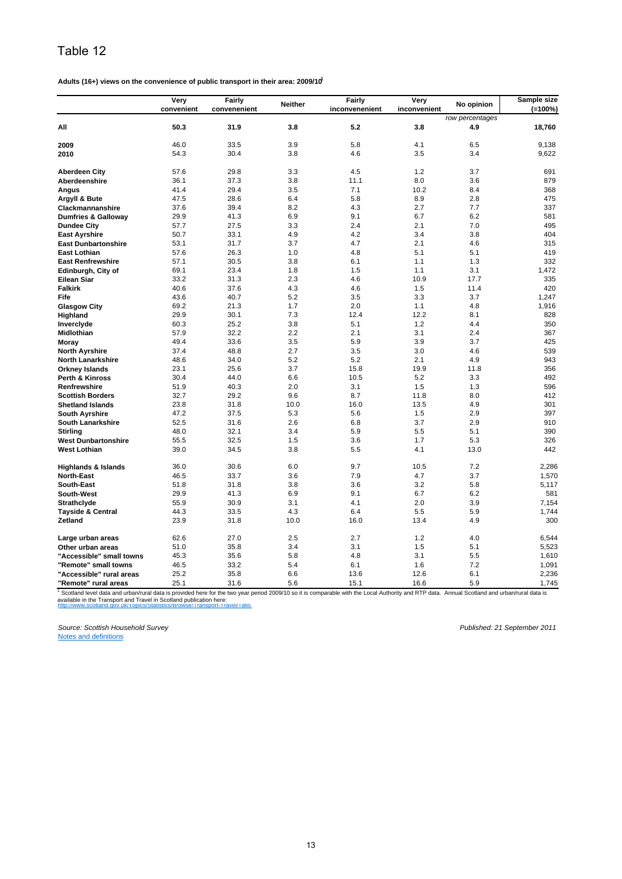**Adults (16+) views on the convenience of public transport in their area: 2009/101**

|                                | Very<br>convenient | <b>Fairly</b><br>convenenient | <b>Neither</b> | Fairly<br>inconvenenient | Very<br>inconvenient | No opinion      | Sample size<br>$(=100\%)$ |
|--------------------------------|--------------------|-------------------------------|----------------|--------------------------|----------------------|-----------------|---------------------------|
|                                |                    |                               |                |                          |                      | row percentages |                           |
| All                            | 50.3               | 31.9                          | 3.8            | 5.2                      | 3.8                  | 4.9             | 18,760                    |
| 2009                           | 46.0               | 33.5                          | 3.9            | 5.8                      | 4.1                  | 6.5             | 9,138                     |
| 2010                           | 54.3               | 30.4                          | 3.8            | 4.6                      | 3.5                  | 3.4             | 9,622                     |
| <b>Aberdeen City</b>           | 57.6               | 29.8                          | 3.3            | 4.5                      | 1.2                  | 3.7             | 691                       |
| Aberdeenshire                  | 36.1               | 37.3                          | 3.8            | 11.1                     | 8.0                  | 3.6             | 879                       |
| Angus                          | 41.4               | 29.4                          | 3.5            | 7.1                      | 10.2                 | 8.4             | 368                       |
| Argyll & Bute                  | 47.5               | 28.6                          | 6.4            | 5.8                      | 8.9                  | 2.8             | 475                       |
| Clackmannanshire               | 37.6               | 39.4                          | 8.2            | 4.3                      | 2.7                  | 7.7             | 337                       |
| <b>Dumfries &amp; Galloway</b> | 29.9               | 41.3                          | 6.9            | 9.1                      | 6.7                  | 6.2             | 581                       |
| <b>Dundee City</b>             | 57.7               | 27.5                          | 3.3            | 2.4                      | 2.1                  | 7.0             | 495                       |
| <b>East Ayrshire</b>           | 50.7               | 33.1                          | 4.9            | 4.2                      | 3.4                  | 3.8             | 404                       |
| <b>East Dunbartonshire</b>     | 53.1               | 31.7                          | 3.7            | 4.7                      | 2.1                  | 4.6             | 315                       |
| East Lothian                   | 57.6               | 26.3                          | 1.0            | 4.8                      | 5.1                  | 5.1             | 419                       |
| <b>East Renfrewshire</b>       | 57.1               | 30.5                          | 3.8            | 6.1                      | 1.1                  | 1.3             | 332                       |
| Edinburgh, City of             | 69.1               | 23.4                          | 1.8            | 1.5                      | 1.1                  | 3.1             | 1,472                     |
| <b>Eilean Siar</b>             | 33.2               | 31.3                          | 2.3            | 4.6                      | 10.9                 | 17.7            | 335                       |
| <b>Falkirk</b>                 | 40.6               | 37.6                          | 4.3            | 4.6                      | 1.5                  | 11.4            | 420                       |
| Fife                           | 43.6               | 40.7                          | 5.2            | 3.5                      | 3.3                  | 3.7             | 1,247                     |
| <b>Glasgow City</b>            | 69.2               | 21.3                          | 1.7            | 2.0                      | 1.1                  | 4.8             | 1,916                     |
| Highland                       | 29.9               | 30.1                          | 7.3            | 12.4                     | 12.2                 | 8.1             | 828                       |
| Inverclyde                     | 60.3               | 25.2                          | 3.8            | 5.1                      | 1.2                  | 4.4             | 350                       |
| Midlothian                     | 57.9               | 32.2                          | 2.2            | 2.1                      | 3.1                  | 2.4             | 367                       |
| Moray                          | 49.4               | 33.6                          | 3.5            | 5.9                      | 3.9                  | 3.7             | 425                       |
| <b>North Ayrshire</b>          | 37.4               | 48.8                          | 2.7            | 3.5                      | 3.0                  | 4.6             | 539                       |
| <b>North Lanarkshire</b>       | 48.6               | 34.0                          | 5.2            | 5.2                      | 2.1                  | 4.9             | 943                       |
| <b>Orkney Islands</b>          | 23.1               | 25.6                          | 3.7            | 15.8                     | 19.9                 | 11.8            | 356                       |
| <b>Perth &amp; Kinross</b>     | 30.4               | 44.0                          | 6.6            | 10.5                     | 5.2                  | 3.3             | 492                       |
| Renfrewshire                   | 51.9               | 40.3                          | 2.0            | 3.1                      | 1.5                  | 1.3             | 596                       |
| <b>Scottish Borders</b>        | 32.7               | 29.2                          | 9.6            | 8.7                      | 11.8                 | 8.0             | 412                       |
| <b>Shetland Islands</b>        | 23.8               | 31.8                          | 10.0           | 16.0                     | 13.5                 | 4.9             | 301                       |
| <b>South Ayrshire</b>          | 47.2               | 37.5                          | 5.3            | 5.6                      | 1.5                  | 2.9             | 397                       |
| <b>South Lanarkshire</b>       | 52.5               | 31.6                          | 2.6            | 6.8                      | 3.7                  | 2.9             | 910                       |
| <b>Stirling</b>                | 48.0               | 32.1                          | 3.4            | 5.9                      | 5.5                  | 5.1             | 390                       |
| <b>West Dunbartonshire</b>     | 55.5               | 32.5                          | 1.5            | 3.6                      | 1.7                  | 5.3             | 326                       |
| <b>West Lothian</b>            | 39.0               | 34.5                          | 3.8            | 5.5                      | 4.1                  | 13.0            | 442                       |
| <b>Highlands &amp; Islands</b> | 36.0               | 30.6                          | 6.0            | 9.7                      | 10.5                 | 7.2             | 2,286                     |
| <b>North-East</b>              | 46.5               | 33.7                          | 3.6            | 7.9                      | 4.7                  | 3.7             | 1,570                     |
| <b>South-East</b>              | 51.8               | 31.8                          | 3.8            | 3.6                      | 3.2                  | 5.8             | 5,117                     |
| South-West                     | 29.9               | 41.3                          | 6.9            | 9.1                      | 6.7                  | 6.2             | 581                       |
| <b>Strathclyde</b>             | 55.9               | 30.9                          | 3.1            | 4.1                      | 2.0                  | 3.9             | 7,154                     |
| <b>Tayside &amp; Central</b>   | 44.3               | 33.5                          | 4.3            | 6.4                      | 5.5                  | 5.9             | 1,744                     |
| Zetland                        | 23.9               | 31.8                          | 10.0           | 16.0                     | 13.4                 | 4.9             | 300                       |
|                                |                    |                               |                |                          |                      |                 |                           |
| Large urban areas              | 62.6               | 27.0                          | 2.5            | 2.7                      | 1.2                  | 4.0             | 6,544                     |
| Other urban areas              | 51.0               | 35.8                          | 3.4            | 3.1                      | 1.5                  | 5.1             | 5,523                     |
| "Accessible" small towns       | 45.3               | 35.6                          | 5.8            | 4.8                      | 3.1                  | 5.5             | 1,610                     |
| "Remote" small towns           | 46.5               | 33.2                          | 5.4            | 6.1                      | 1.6                  | 7.2             | 1,091                     |
| "Accessible" rural areas       | 25.2               | 35.8                          | 6.6            | 13.6                     | 12.6                 | 6.1             | 2,236                     |
| "Remote" rural areas           | 25.1               | 31.6                          | 5.6            | 15.1                     | 16.6                 | 5.9             | 1,745                     |

http://www.scotland.gov.uk/Topics/Statistics/Browse/Transport-Travel/Tatis <sup>1</sup> Scotland level data and urban/rural data is provided here for the two year period 2009/10 so it is comparable with the Local Authority and RTP data. Annual Scotland and urban/rural data is<br>available in the Transport an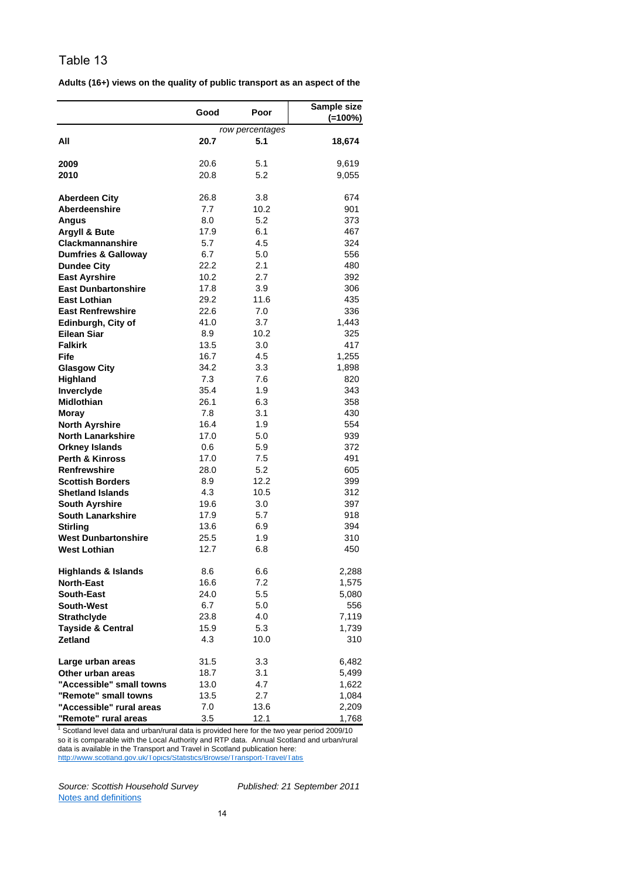|                                   | Good        | Poor                   | Sample size |
|-----------------------------------|-------------|------------------------|-------------|
|                                   |             | $(=100\%)$             |             |
| All                               | 20.7        | row percentages<br>5.1 | 18,674      |
|                                   |             |                        |             |
| 2009                              | 20.6        | 5.1                    | 9,619       |
| 2010                              | 20.8        | 5.2                    | 9,055       |
|                                   |             |                        |             |
| <b>Aberdeen City</b>              | 26.8        | 3.8                    | 674         |
| Aberdeenshire                     | 7.7         | 10.2                   | 901         |
| Angus                             | 8.0         | 5.2                    | 373         |
| <b>Argyll &amp; Bute</b>          | 17.9        | 6.1                    | 467         |
| <b>Clackmannanshire</b>           | 5.7         | 4.5                    | 324         |
| <b>Dumfries &amp; Galloway</b>    | 6.7         | 5.0                    | 556         |
| <b>Dundee City</b>                | 22.2        | 2.1                    | 480         |
| <b>East Ayrshire</b>              | 10.2        | 2.7                    | 392         |
| <b>East Dunbartonshire</b>        | 17.8        | 3.9                    | 306         |
| <b>East Lothian</b>               | 29.2        | 11.6                   | 435         |
| <b>East Renfrewshire</b>          | 22.6        | 7.0                    | 336         |
| Edinburgh, City of<br>Eilean Siar | 41.0<br>8.9 | 3.7<br>10.2            | 1,443       |
| <b>Falkirk</b>                    | 13.5        | 3.0                    | 325<br>417  |
| Fife                              | 16.7        | 4.5                    | 1,255       |
| <b>Glasgow City</b>               | 34.2        | 3.3                    | 1,898       |
| Highland                          | 7.3         | 7.6                    | 820         |
| Inverclyde                        | 35.4        | 1.9                    | 343         |
| <b>Midlothian</b>                 | 26.1        | 6.3                    | 358         |
| Moray                             | 7.8         | 3.1                    | 430         |
| <b>North Ayrshire</b>             | 16.4        | 1.9                    | 554         |
| <b>North Lanarkshire</b>          | 17.0        | 5.0                    | 939         |
| <b>Orkney Islands</b>             | 0.6         | 5.9                    | 372         |
| <b>Perth &amp; Kinross</b>        | 17.0        | 7.5                    | 491         |
| <b>Renfrewshire</b>               | 28.0        | 5.2                    | 605         |
| <b>Scottish Borders</b>           | 8.9         | 12.2                   | 399         |
| <b>Shetland Islands</b>           | 4.3         | 10.5                   | 312         |
| <b>South Ayrshire</b>             | 19.6        | 3.0                    | 397         |
| <b>South Lanarkshire</b>          | 17.9        | 5.7                    | 918         |
| <b>Stirling</b>                   | 13.6        | 6.9                    | 394         |
| <b>West Dunbartonshire</b>        | 25.5        | 1.9                    | 310         |
| <b>West Lothian</b>               | 12.7        | 6.8                    | 450         |
| <b>Highlands &amp; Islands</b>    | 8.6         | 6.6                    | 2,288       |
| <b>North-East</b>                 | 16.6        | 7.2                    | 1,575       |
| <b>South-East</b>                 | 24.0        | 5.5                    | 5,080       |
| <b>South-West</b>                 | 6.7         | 5.0                    | 556         |
| <b>Strathclyde</b>                | 23.8        | 4.0                    | 7,119       |
| <b>Tayside &amp; Central</b>      | 15.9        | 5.3                    | 1,739       |
| <b>Zetland</b>                    | 4.3         | 10.0                   | 310         |
| Large urban areas                 | 31.5        | 3.3                    | 6,482       |
| Other urban areas                 | 18.7        | 3.1                    | 5,499       |
| "Accessible" small towns          | 13.0        | 4.7                    | 1,622       |
| "Remote" small towns              | 13.5        | 2.7                    | 1,084       |
| "Accessible" rural areas          | 7.0         | 13.6                   | 2,209       |
| "Remote" rural areas              | 3.5         | 12.1                   | 1,768       |

**Adults (16+) views on the quality of public transport as an aspect of the** 

http://www.scotland.gov.uk/Topics/Statistics/Browse/Transport-Travel/Tatis  $1$  Scotland level data and urban/rural data is provided here for the two year period 2009/10 so it is comparable with the Local Authority and RTP data. Annual Scotland and urban/rural data is available in the Transport and Travel in Scotland publication here: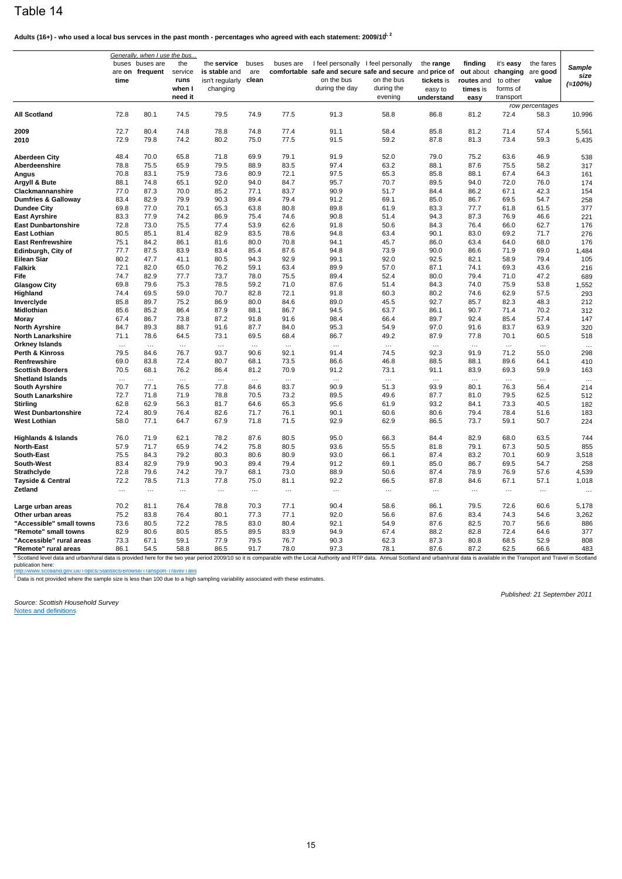Adults (16+) - who used a local bus servces in the past month - percentages who agreed with each statement: 2009/10<sup>1, 2</sup>

|                                                   | Generally, when I use the bus |                                    |                                             |                                                             |                       |                  |                              |                                                                                                                                        |                                                  |                                                                 |                                                |                                |                             |
|---------------------------------------------------|-------------------------------|------------------------------------|---------------------------------------------|-------------------------------------------------------------|-----------------------|------------------|------------------------------|----------------------------------------------------------------------------------------------------------------------------------------|--------------------------------------------------|-----------------------------------------------------------------|------------------------------------------------|--------------------------------|-----------------------------|
|                                                   | time                          | buses buses are<br>are on frequent | the<br>service<br>runs<br>when I<br>need it | the service<br>is stable and<br>isn't regularly<br>changing | buses<br>are<br>clean | buses are        | on the bus<br>during the day | I feel personally I feel personally<br>comfortable safe and secure safe and secure and price of<br>on the bus<br>during the<br>evening | the range<br>tickets is<br>easy to<br>understand | finding<br>out about changing<br>routes and<br>times is<br>easy | it's easy<br>to other<br>forms of<br>transport | the fares<br>are good<br>value | Sample<br>size<br>$(=100%)$ |
|                                                   |                               |                                    |                                             |                                                             |                       |                  |                              |                                                                                                                                        |                                                  |                                                                 |                                                | row percentages                |                             |
| All Scotland                                      | 72.8                          | 80.1                               | 74.5                                        | 79.5                                                        | 74.9                  | 77.5             | 91.3                         | 58.8                                                                                                                                   | 86.8                                             | 81.2                                                            | 72.4                                           | 58.3                           | 10,996                      |
| 2009                                              | 72.7                          | 80.4                               | 74.8                                        | 78.8                                                        | 74.8                  | 77.4             | 91.1                         | 58.4                                                                                                                                   | 85.8                                             | 81.2                                                            | 71.4                                           | 57.4                           | 5,561                       |
| 2010                                              | 72.9                          | 79.8                               | 74.2                                        | 80.2                                                        | 75.0                  | 77.5             | 91.5                         | 59.2                                                                                                                                   | 87.8                                             | 81.3                                                            | 73.4                                           | 59.3                           | 5,435                       |
|                                                   |                               |                                    |                                             |                                                             |                       |                  |                              |                                                                                                                                        |                                                  |                                                                 |                                                |                                |                             |
| Aberdeen City                                     | 48.4                          | 70.0                               | 65.8                                        | 71.8                                                        | 69.9                  | 79.1             | 91.9                         | 52.0                                                                                                                                   | 79.0                                             | 75.2                                                            | 63.6                                           | 46.9                           | 538                         |
| Aberdeenshire                                     | 78.8                          | 75.5                               | 65.9                                        | 79.5                                                        | 88.9                  | 83.5             | 97.4                         | 63.2                                                                                                                                   | 88.1                                             | 87.6                                                            | 75.5                                           | 58.2                           | 317                         |
| Angus                                             | 70.8                          | 83.1                               | 75.9                                        | 73.6                                                        | 80.9                  | 72.1             | 97.5                         | 65.3                                                                                                                                   | 85.8                                             | 88.1                                                            | 67.4                                           | 64.3                           | 161                         |
| Argyll & Bute                                     | 88.1                          | 74.8                               | 65.1                                        | 92.0                                                        | 94.0                  | 84.7             | 95.7                         | 70.7                                                                                                                                   | 89.5                                             | 94.0                                                            | 72.0                                           | 76.0                           | 174                         |
| Clackmannanshire                                  | 77.0                          | 87.3                               | 70.0                                        | 85.2                                                        | 77.1                  | 83.7             | 90.9                         | 51.7                                                                                                                                   | 84.4                                             | 86.2                                                            | 67.1                                           | 42.3                           | 154                         |
| <b>Dumfries &amp; Galloway</b>                    | 83.4                          | 82.9                               | 79.9                                        | 90.3                                                        | 89.4                  | 79.4             | 91.2                         | 69.1                                                                                                                                   | 85.0                                             | 86.7                                                            | 69.5                                           | 54.7                           | 258                         |
| <b>Dundee City</b>                                | 69.8                          | 77.0                               | 70.1                                        | 65.3                                                        | 63.8                  | 80.8             | 89.8                         | 61.9                                                                                                                                   | 83.3                                             | 77.7                                                            | 61.8                                           | 61.5                           | 377                         |
| <b>East Ayrshire</b>                              | 83.3                          | 77.9                               | 74.2                                        | 86.9                                                        | 75.4                  | 74.6             | 90.8                         | 51.4                                                                                                                                   | 94.3                                             | 87.3                                                            | 76.9                                           | 46.6                           | 221                         |
| <b>East Dunbartonshire</b><br><b>East Lothian</b> | 72.8<br>80.5                  | 73.0                               | 75.5<br>81.4                                | 77.4<br>82.9                                                | 53.9<br>83.5          | 62.6             | 91.8<br>94.8                 | 50.6                                                                                                                                   | 84.3<br>90.1                                     | 76.4<br>83.0                                                    | 66.0<br>69.2                                   | 62.7                           | 176                         |
| <b>East Renfrewshire</b>                          | 75.1                          | 85.1<br>84.2                       | 86.1                                        | 81.6                                                        | 80.0                  | 78.6<br>70.8     | 94.1                         | 63.4                                                                                                                                   |                                                  | 63.4                                                            | 64.0                                           | 71.7<br>68.0                   | 276                         |
| Edinburgh, City of                                | 77.7                          | 87.5                               | 83.9                                        | 83.4                                                        | 85.4                  | 87.6             | 94.8                         | 45.7<br>73.9                                                                                                                           | 86.0<br>90.0                                     | 86.6                                                            | 71.9                                           | 69.0                           | 176<br>1,484                |
| Eilean Siar                                       | 80.2                          | 47.7                               | 41.1                                        | 80.5                                                        | 94.3                  | 92.9             | 99.1                         | 92.0                                                                                                                                   | 92.5                                             | 82.1                                                            | 58.9                                           | 79.4                           | 105                         |
| <b>Falkirk</b>                                    | 72.1                          | 82.0                               | 65.0                                        | 76.2                                                        | 59.1                  | 63.4             | 89.9                         | 57.0                                                                                                                                   | 87.1                                             | 74.1                                                            | 69.3                                           | 43.6                           | 216                         |
| Fife                                              | 74.7                          | 82.9                               | 77.7                                        | 73.7                                                        | 78.0                  | 75.5             | 89.4                         | 52.4                                                                                                                                   | 80.0                                             | 79.4                                                            | 71.0                                           | 47.2                           | 689                         |
| <b>Glasgow City</b>                               | 69.8                          | 79.6                               | 75.3                                        | 78.5                                                        | 59.2                  | 71.0             | 87.6                         | 51.4                                                                                                                                   | 84.3                                             | 74.0                                                            | 75.9                                           | 53.8                           | 1,552                       |
| Highland                                          | 74.4                          | 69.5                               | 59.0                                        | 70.7                                                        | 82.8                  | 72.1             | 91.8                         | 60.3                                                                                                                                   | 80.2                                             | 74.6                                                            | 62.9                                           | 57.5                           | 293                         |
| Inverclyde                                        | 85.8                          | 89.7                               | 75.2                                        | 86.9                                                        | 80.0                  | 84.6             | 89.0                         | 45.5                                                                                                                                   | 92.7                                             | 85.7                                                            | 82.3                                           | 48.3                           | 212                         |
| Midlothian                                        | 85.6                          | 85.2                               | 86.4                                        | 87.9                                                        | 88.1                  | 86.7             | 94.5                         | 63.7                                                                                                                                   | 86.1                                             | 90.7                                                            | 71.4                                           | 70.2                           | 312                         |
| Moray                                             | 67.4                          | 86.7                               | 73.8                                        | 87.2                                                        | 91.8                  | 91.6             | 98.4                         | 66.4                                                                                                                                   | 89.7                                             | 92.4                                                            | 85.4                                           | 57.4                           | 147                         |
| North Ayrshire                                    | 84.7                          | 89.3                               | 88.7                                        | 91.6                                                        | 87.7                  | 84.0             | 95.3                         | 54.9                                                                                                                                   | 97.0                                             | 91.6                                                            | 83.7                                           | 63.9                           | 320                         |
| North Lanarkshire<br>Orkney Islands               | 71.1                          | 78.6                               | 64.5                                        | 73.1                                                        | 69.5<br>$\cdots$      | 68.4             | 86.7                         | 49.2                                                                                                                                   | 87.9                                             | 77.8                                                            | 70.1                                           | 60.5                           | 518                         |
| Perth & Kinross                                   | $\cdots$<br>79.5              | $\cdots$<br>84.6                   | $\cdots$<br>76.7                            | $\cdots$<br>93.7                                            | 90.6                  | $\cdots$<br>92.1 | $\cdots$<br>91.4             | $\cdots$<br>74.5                                                                                                                       | $\cdots$<br>92.3                                 | $\cdots$<br>91.9                                                | $\cdots$<br>71.2                               | $\cdots$<br>55.0               | $\ddotsc$<br>298            |
| Renfrewshire                                      | 69.0                          | 83.8                               | 72.4                                        | 80.7                                                        | 68.1                  | 73.5             | 86.6                         | 46.8                                                                                                                                   | 88.5                                             | 88.1                                                            | 89.6                                           | 64.1                           | 410                         |
| <b>Scottish Borders</b>                           | 70.5                          | 68.1                               | 76.2                                        | 86.4                                                        | 81.2                  | 70.9             | 91.2                         | 73.1                                                                                                                                   | 91.1                                             | 83.9                                                            | 69.3                                           | 59.9                           | 163                         |
| <b>Shetland Islands</b>                           | $\cdots$                      | $\ldots$                           | $\ldots$                                    | $\ldots$                                                    | $\cdots$              | $\ldots$         | $\cdots$                     |                                                                                                                                        | $\ldots$                                         | $\ldots$                                                        | $\ldots$                                       | $\ldots$                       | $\ddotsc$                   |
| South Ayrshire                                    | 70.7                          | 77.1                               | 76.5                                        | 77.8                                                        | 84.6                  | 83.7             | 90.9                         | 51.3                                                                                                                                   | 93.9                                             | 80.1                                                            | 76.3                                           | 56.4                           | 214                         |
| South Lanarkshire                                 | 72.7                          | 71.8                               | 71.9                                        | 78.8                                                        | 70.5                  | 73.2             | 89.5                         | 49.6                                                                                                                                   | 87.7                                             | 81.0                                                            | 79.5                                           | 62.5                           | 512                         |
| Stirling                                          | 62.8                          | 62.9                               | 56.3                                        | 81.7                                                        | 64.6                  | 65.3             | 95.6                         | 61.9                                                                                                                                   | 93.2                                             | 84.1                                                            | 73.3                                           | 40.5                           | 182                         |
| <b>West Dunbartonshire</b>                        | 72.4                          | 80.9                               | 76.4                                        | 82.6                                                        | 71.7                  | 76.1             | 90.1                         | 60.6                                                                                                                                   | 80.6                                             | 79.4                                                            | 78.4                                           | 51.6                           | 183                         |
| West Lothian                                      | 58.0                          | 77.1                               | 64.7                                        | 67.9                                                        | 71.8                  | 71.5             | 92.9                         | 62.9                                                                                                                                   | 86.5                                             | 73.7                                                            | 59.1                                           | 50.7                           | 224                         |
| <b>Highlands &amp; Islands</b>                    | 76.0                          | 71.9                               | 62.1                                        | 78.2                                                        | 87.6                  | 80.5             | 95.0                         | 66.3                                                                                                                                   | 84.4                                             | 82.9                                                            | 68.0                                           | 63.5                           | 744                         |
| <b>North-East</b>                                 | 57.9                          | 71.7                               | 65.9                                        | 74.2                                                        | 75.8                  | 80.5             | 93.6                         | 55.5                                                                                                                                   | 81.8                                             | 79.1                                                            | 67.3                                           | 50.5                           | 855                         |
| South-East                                        | 75.5                          | 84.3                               | 79.2                                        | 80.3                                                        | 80.6                  | 80.9             | 93.0                         | 66.1                                                                                                                                   | 87.4                                             | 83.2                                                            | 70.1                                           | 60.9                           | 3,518                       |
| South-West                                        | 83.4                          | 82.9                               | 79.9                                        | 90.3                                                        | 89.4                  | 79.4             | 91.2                         | 69.1                                                                                                                                   | 85.0                                             | 86.7                                                            | 69.5                                           | 54.7                           | 258                         |
| Strathclyde                                       | 72.8                          | 79.6                               | 74.2                                        | 79.7                                                        | 68.1                  | 73.0             | 88.9                         | 50.6                                                                                                                                   | 87.4                                             | 78.9                                                            | 76.9                                           | 57.6                           | 4,539                       |
| Tayside & Central<br>Zetland                      | 72.2<br>$\ldots$              | 78.5<br>$\cdots$                   | 71.3<br>$\ldots$                            | 77.8<br>$\ldots$                                            | 75.0<br>              | 81.1<br>$\ldots$ | 92.2<br>$\cdots$             | 66.5<br>$\cdots$                                                                                                                       | 87.8<br>$\ldots$                                 | 84.6<br>$\ldots$                                                | 67.1<br>$\cdots$                               | 57.1<br>$\cdots$               | 1,018<br>.                  |
| Large urban areas                                 | 70.2                          | 81.1                               | 76.4                                        | 78.8                                                        | 70.3                  | 77.1             | 90.4                         | 58.6                                                                                                                                   | 86.1                                             | 79.5                                                            | 72.6                                           | 60.6                           | 5,178                       |
| Other urban areas                                 | 75.2                          | 83.8                               | 76.4                                        | 80.1                                                        | 77.3                  | 77.1             | 92.0                         | 56.6                                                                                                                                   | 87.6                                             | 83.4                                                            | 74.3                                           | 54.6                           | 3,262                       |
| "Accessible" small towns                          | 73.6                          | 80.5                               | 72.2                                        | 78.5                                                        | 83.0                  | 80.4             | 92.1                         | 54.9                                                                                                                                   | 87.6                                             | 82.5                                                            | 70.7                                           | 56.6                           | 886                         |
| "Remote" small towns                              | 82.9                          | 80.6                               | 80.5                                        | 85.5                                                        | 89.5                  | 83.9             | 94.9                         | 67.4                                                                                                                                   | 88.2                                             | 82.8                                                            | 72.4                                           | 64.6                           | 377                         |
| "Accessible" rural areas                          | 73.3                          | 67.1                               | 59.1                                        | 77.9                                                        | 79.5                  | 76.7             | 90.3                         | 62.3                                                                                                                                   | 87.3                                             | 80.8                                                            | 68.5                                           | 52.9                           | 808                         |
| "Remote" rural areas                              | 86.1                          | 54.5                               | 58.8                                        | 86.5                                                        | 91.7                  | 78.0             | 97.3                         | 78.1                                                                                                                                   | 87.6                                             | 87.2                                                            | 62.5                                           | 66.6                           | 483                         |

<sup>1</sup> Scotland level data and urban/rural data is provided here for the two year period 2009/10 so it is comparable with the Local Authority and RTP data. Annual Scotland and urban/rural data is available in the Transport an

http://www.scotland.gov.uk/Topics/Statistics/Browse/Transport-Travel/Tatis<br><sup>2</sup> Data is not provided where the sample size is less than 100 due to a high sampling variability associated with these estimates.

*Source: Scottish Household Survey* Notes and definitions

*Published: 21 September 2011*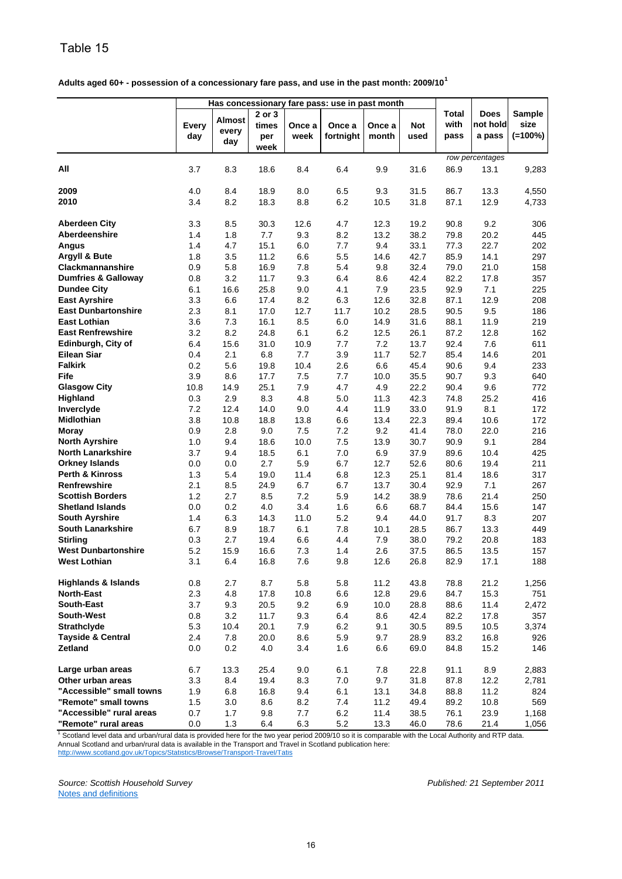| Adults aged 60+ - possession of a concessionary fare pass, and use in the past month: 2009/10 <sup>1</sup> |  |
|------------------------------------------------------------------------------------------------------------|--|
|                                                                                                            |  |

|                                | Has concessionary fare pass: use in past month |                               |                                |                |                     |                 |                    |                       |                                   |                              |
|--------------------------------|------------------------------------------------|-------------------------------|--------------------------------|----------------|---------------------|-----------------|--------------------|-----------------------|-----------------------------------|------------------------------|
|                                | Every<br>day                                   | <b>Almost</b><br>every<br>day | 2 or 3<br>times<br>per<br>week | Once a<br>week | Once a<br>fortnight | Once a<br>month | <b>Not</b><br>used | Total<br>with<br>pass | <b>Does</b><br>not hold<br>a pass | Sample<br>size<br>$(=100\%)$ |
| All                            | 3.7                                            | 8.3                           | 18.6                           | 8.4            | 6.4                 | 9.9             | 31.6               | 86.9                  | row percentages<br>13.1           | 9,283                        |
|                                |                                                |                               |                                |                |                     |                 |                    |                       |                                   |                              |
| 2009                           | 4.0                                            | 8.4                           | 18.9                           | 8.0            | 6.5                 | 9.3             | 31.5               | 86.7                  | 13.3                              | 4,550                        |
| 2010                           | 3.4                                            | 8.2                           | 18.3                           | 8.8            | 6.2                 | 10.5            | 31.8               | 87.1                  | 12.9                              | 4,733                        |
| <b>Aberdeen City</b>           | 3.3                                            | 8.5                           | 30.3                           | 12.6           | 4.7                 | 12.3            | 19.2               | 90.8                  | 9.2                               | 306                          |
| <b>Aberdeenshire</b>           | 1.4                                            | 1.8                           | 7.7                            | 9.3            | 8.2                 | 13.2            | 38.2               | 79.8                  | 20.2                              | 445                          |
| <b>Angus</b>                   | 1.4                                            | 4.7                           | 15.1                           | 6.0            | 7.7                 | 9.4             | 33.1               | 77.3                  | 22.7                              | 202                          |
| Argyll & Bute                  | 1.8                                            | 3.5                           | 11.2                           | 6.6            | 5.5                 | 14.6            | 42.7               | 85.9                  | 14.1                              | 297                          |
| Clackmannanshire               | 0.9                                            | 5.8                           | 16.9                           | 7.8            | 5.4                 | 9.8             | 32.4               | 79.0                  | 21.0                              | 158                          |
| <b>Dumfries &amp; Galloway</b> | 0.8                                            | 3.2                           | 11.7                           | 9.3            | 6.4                 | 8.6             | 42.4               | 82.2                  | 17.8                              | 357                          |
| <b>Dundee City</b>             | 6.1                                            | 16.6                          | 25.8                           | 9.0            | 4.1                 | 7.9             | 23.5               | 92.9                  | 7.1                               | 225                          |
| <b>East Ayrshire</b>           | 3.3                                            | 6.6                           | 17.4                           | 8.2            | 6.3                 | 12.6            | 32.8               | 87.1                  | 12.9                              | 208                          |
| <b>East Dunbartonshire</b>     | 2.3                                            | 8.1                           | 17.0                           | 12.7           | 11.7                | 10.2            | 28.5               | 90.5                  | 9.5                               | 186                          |
| <b>East Lothian</b>            | 3.6                                            | 7.3                           | 16.1                           | 8.5            | 6.0                 | 14.9            | 31.6               | 88.1                  | 11.9                              | 219                          |
| <b>East Renfrewshire</b>       | 3.2                                            | 8.2                           | 24.8                           | 6.1            | 6.2                 | 12.5            | 26.1               | 87.2                  | 12.8                              | 162                          |
| Edinburgh, City of             | 6.4                                            | 15.6                          | 31.0                           | 10.9           | 7.7                 | 7.2             | 13.7               | 92.4                  | 7.6                               | 611                          |
| <b>Eilean Siar</b>             | 0.4                                            | 2.1                           | 6.8                            | 7.7            | 3.9                 | 11.7            | 52.7               | 85.4                  | 14.6                              | 201                          |
| <b>Falkirk</b>                 | 0.2                                            | 5.6                           | 19.8                           | 10.4           | 2.6                 | 6.6             | 45.4               | 90.6                  | 9.4                               | 233                          |
| Fife                           | 3.9                                            | 8.6                           | 17.7                           | 7.5            | 7.7                 | 10.0            | 35.5               | 90.7                  | 9.3                               | 640                          |
| <b>Glasgow City</b>            | 10.8                                           | 14.9                          | 25.1                           | 7.9            | 4.7                 | 4.9             | 22.2               | 90.4                  | 9.6                               | 772                          |
| Highland                       | 0.3                                            | 2.9                           | 8.3                            | 4.8            | 5.0                 | 11.3            | 42.3               | 74.8                  | 25.2                              | 416                          |
| Inverclyde                     | 7.2                                            | 12.4                          | 14.0                           | 9.0            | 4.4                 | 11.9            | 33.0               | 91.9                  | 8.1                               | 172                          |
| <b>Midlothian</b>              | 3.8                                            | 10.8                          | 18.8                           | 13.8           | 6.6                 | 13.4            | 22.3               | 89.4                  | 10.6                              | 172                          |
| <b>Moray</b>                   | 0.9                                            | 2.8                           | 9.0                            | 7.5            | 7.2                 | 9.2             | 41.4               | 78.0                  | 22.0                              | 216                          |
| <b>North Ayrshire</b>          | 1.0                                            | 9.4                           | 18.6                           | 10.0           | 7.5                 | 13.9            | 30.7               | 90.9                  | 9.1                               | 284                          |
| <b>North Lanarkshire</b>       | 3.7                                            | 9.4                           | 18.5                           | 6.1            | 7.0                 | 6.9             | 37.9               | 89.6                  | 10.4                              | 425                          |
| <b>Orkney Islands</b>          | 0.0                                            | 0.0                           | 2.7                            | 5.9            | 6.7                 | 12.7            | 52.6               | 80.6                  | 19.4                              | 211                          |
| <b>Perth &amp; Kinross</b>     | 1.3                                            | 5.4                           | 19.0                           | 11.4           | 6.8                 | 12.3            | 25.1               | 81.4                  | 18.6                              | 317                          |
| <b>Renfrewshire</b>            | 2.1                                            | 8.5                           | 24.9                           | 6.7            | 6.7                 | 13.7            | 30.4               | 92.9                  | 7.1                               | 267                          |
| <b>Scottish Borders</b>        | 1.2                                            | 2.7                           | 8.5                            | 7.2            | 5.9                 | 14.2            | 38.9               | 78.6                  | 21.4                              | 250                          |
| <b>Shetland Islands</b>        | 0.0                                            | 0.2                           | 4.0                            | 3.4            | 1.6                 | 6.6             | 68.7               | 84.4                  | 15.6                              | 147                          |
| <b>South Ayrshire</b>          | 1.4                                            | 6.3                           | 14.3                           | 11.0           | 5.2                 | 9.4             | 44.0               | 91.7                  | 8.3                               | 207                          |
| <b>South Lanarkshire</b>       | 6.7                                            | 8.9                           | 18.7                           | 6.1            | 7.8                 | 10.1            | 28.5               | 86.7                  | 13.3                              | 449                          |
| <b>Stirling</b>                | 0.3                                            | 2.7                           | 19.4                           | 6.6            | 4.4                 | 7.9             | 38.0               | 79.2                  | 20.8                              | 183                          |
| <b>West Dunbartonshire</b>     | 5.2                                            | 15.9                          | 16.6                           | 7.3            | 1.4                 | 2.6             | 37.5               | 86.5                  | 13.5                              | 157                          |
| <b>West Lothian</b>            | 3.1                                            | 6.4                           | 16.8                           | $7.6\,$        | $9.8\,$             | 12.6            | 26.8               | 82.9                  | 17.1                              | 188                          |
| <b>Highlands &amp; Islands</b> | 0.8                                            | 2.7                           | 8.7                            | 5.8            | 5.8                 | 11.2            | 43.8               | 78.8                  | 21.2                              | 1,256                        |
| <b>North-East</b>              | 2.3                                            | 4.8                           | 17.8                           | 10.8           | $6.6\,$             | 12.8            | 29.6               | 84.7                  | 15.3                              | 751                          |
| <b>South-East</b>              | 3.7                                            | 9.3                           | 20.5                           | 9.2            | 6.9                 | 10.0            | 28.8               | 88.6                  | 11.4                              | 2,472                        |
| South-West                     | 0.8                                            | 3.2                           | 11.7                           | 9.3            | 6.4                 | 8.6             | 42.4               | 82.2                  | 17.8                              | 357                          |
| <b>Strathclyde</b>             | 5.3                                            | 10.4                          | 20.1                           | 7.9            | 6.2                 | 9.1             | 30.5               | 89.5                  | 10.5                              | 3,374                        |
| <b>Tayside &amp; Central</b>   | 2.4                                            | 7.8                           | 20.0                           | 8.6            | 5.9                 | 9.7             | 28.9               | 83.2                  | 16.8                              | 926                          |
| <b>Zetland</b>                 | 0.0                                            | 0.2                           | 4.0                            | 3.4            | 1.6                 | 6.6             | 69.0               | 84.8                  | 15.2                              | 146                          |
| Large urban areas              | 6.7                                            | 13.3                          | 25.4                           | 9.0            | 6.1                 | 7.8             | 22.8               | 91.1                  | 8.9                               | 2,883                        |
| Other urban areas              | 3.3                                            | 8.4                           | 19.4                           | 8.3            | 7.0                 | 9.7             | 31.8               | 87.8                  | 12.2                              | 2,781                        |
| "Accessible" small towns       | 1.9                                            | 6.8                           | 16.8                           | 9.4            | 6.1                 | 13.1            | 34.8               | 88.8                  | 11.2                              | 824                          |
| "Remote" small towns           | 1.5                                            | 3.0                           | 8.6                            | 8.2            | 7.4                 | 11.2            | 49.4               | 89.2                  | 10.8                              | 569                          |
| "Accessible" rural areas       | 0.7                                            | 1.7                           | 9.8                            | 7.7            | $6.2\,$             | 11.4            | 38.5               | 76.1                  | 23.9                              | 1,168                        |
| "Remote" rural areas           | $0.0\,$                                        | 1.3                           | 6.4                            | 6.3            | $5.2\,$             | 13.3            | 46.0               | 78.6                  | 21.4                              | 1,056                        |

<sup>1</sup> Scotland level data and urban/rural data is provided here for the two year period 2009/10 so it is comparable with the Local Authority and RTP data.

Annual Scotland and urban/rural data is available in the Transport and Travel in Scotland publication here:<br><u>http://www.scotland.gov.uk/Topics/Statistics/Browse/Transport-Travel/Tatis</u>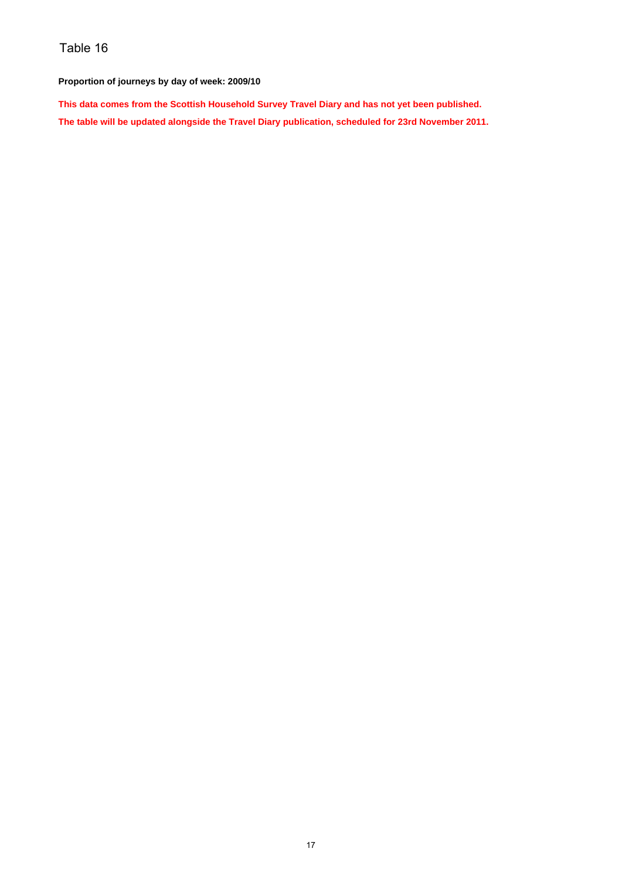#### **Proportion of journeys by day of week: 2009/10**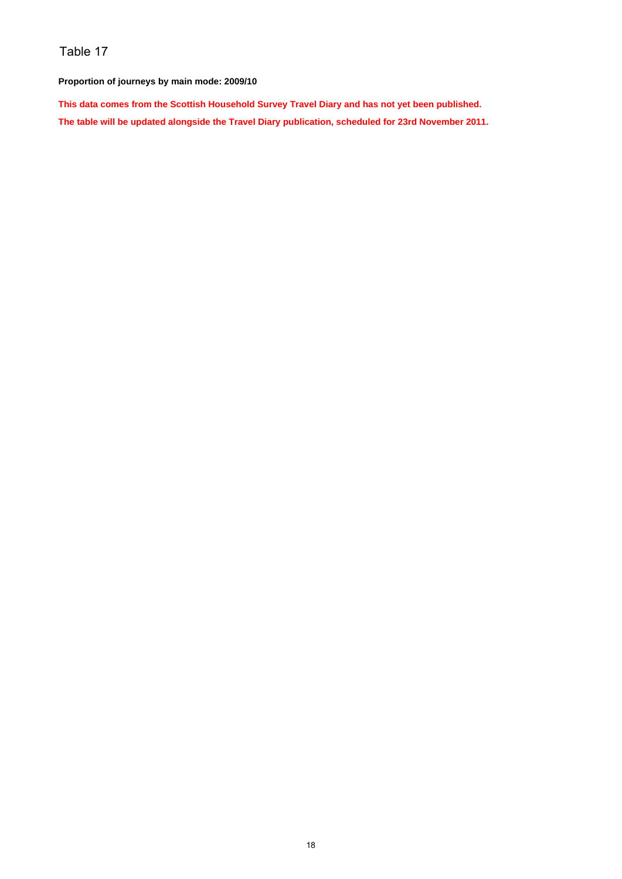**Proportion of journeys by main mode: 2009/10**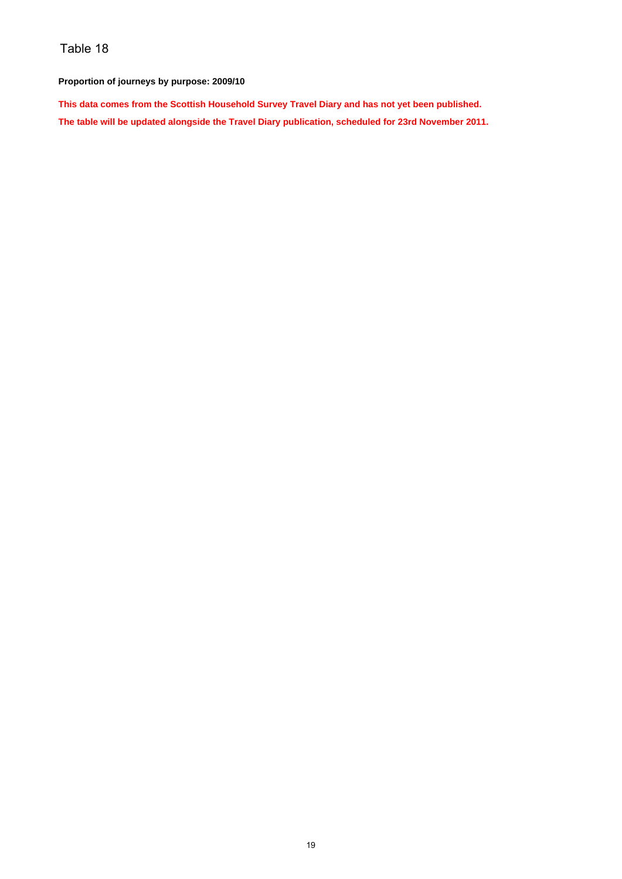#### **Proportion of journeys by purpose: 2009/10**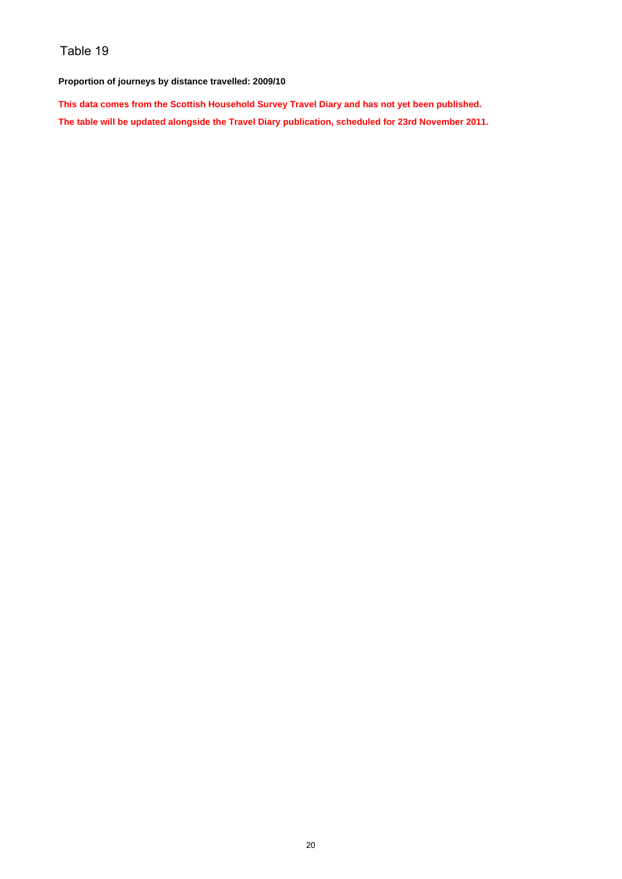#### **Proportion of journeys by distance travelled: 2009/10**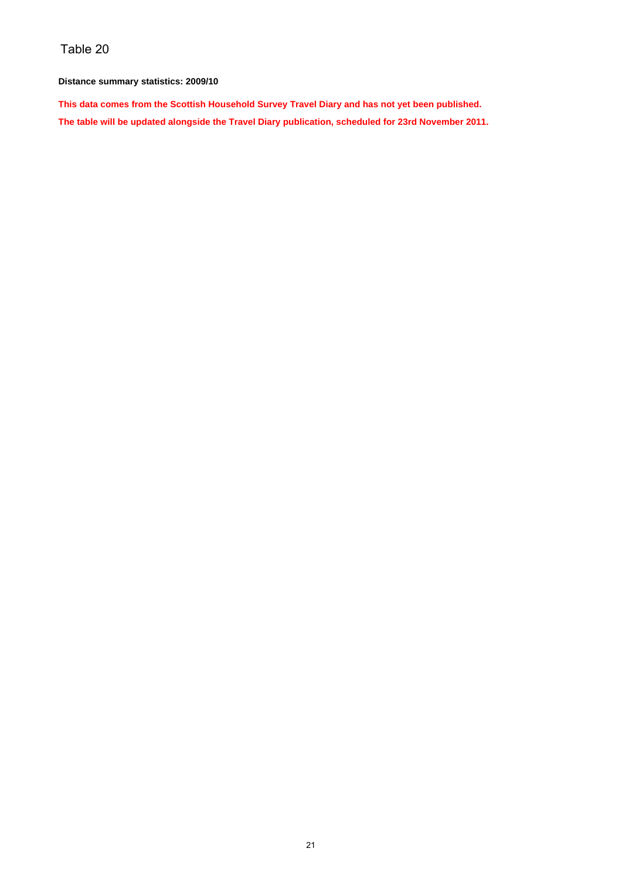#### **Distance summary statistics: 2009/10**